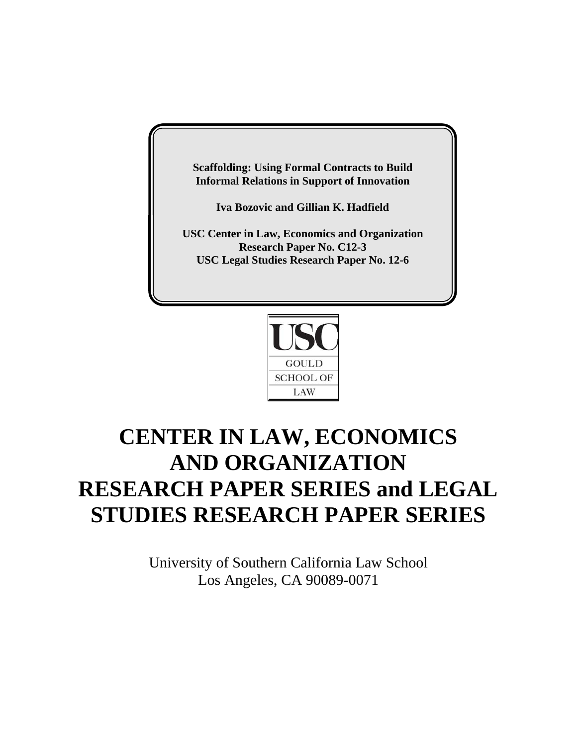**Scaffolding: Using Formal Contracts to Build Informal Relations in Support of Innovation**

**Iva Bozovic and Gillian K. Hadfield**

**USC Center in Law, Economics and Organization Research Paper No. C12-3 USC Legal Studies Research Paper No. 12-6**



# **CENTER IN LAW, ECONOMICS AND ORGANIZATION RESEARCH PAPER SERIES and LEGAL STUDIES RESEARCH PAPER SERIES**

University of Southern California Law School Los Angeles, CA 90089-0071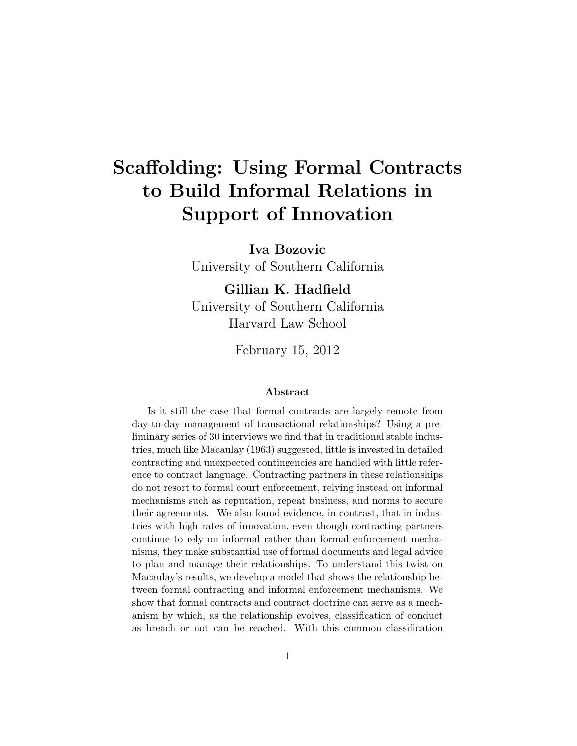# **Scaffolding: Using Formal Contracts to Build Informal Relations in Support of Innovation**

**Iva Bozovic** University of Southern California

**Gillian K. Hadfield** University of Southern California Harvard Law School

February 15, 2012

#### **Abstract**

Is it still the case that formal contracts are largely remote from day-to-day management of transactional relationships? Using a preliminary series of 30 interviews we find that in traditional stable industries, much like Macaulay (1963) suggested, little is invested in detailed contracting and unexpected contingencies are handled with little reference to contract language. Contracting partners in these relationships do not resort to formal court enforcement, relying instead on informal mechanisms such as reputation, repeat business, and norms to secure their agreements. We also found evidence, in contrast, that in industries with high rates of innovation, even though contracting partners continue to rely on informal rather than formal enforcement mechanisms, they make substantial use of formal documents and legal advice to plan and manage their relationships. To understand this twist on Macaulay's results, we develop a model that shows the relationship between formal contracting and informal enforcement mechanisms. We show that formal contracts and contract doctrine can serve as a mechanism by which, as the relationship evolves, classification of conduct as breach or not can be reached. With this common classification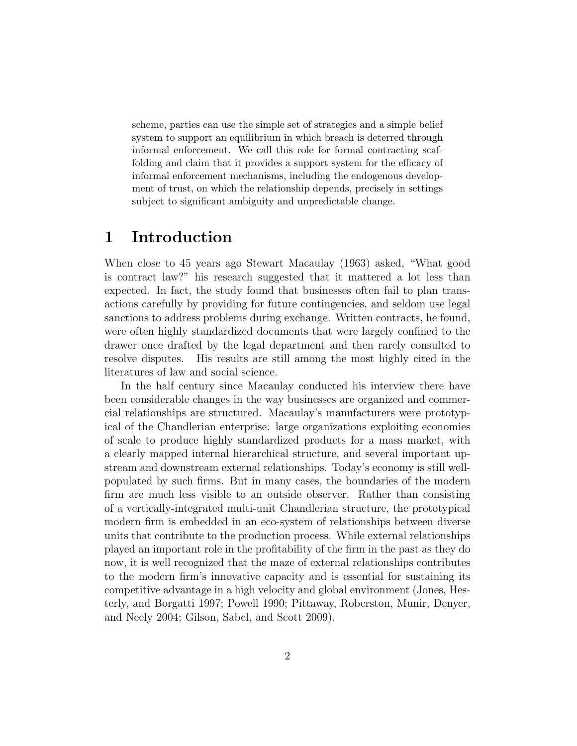scheme, parties can use the simple set of strategies and a simple belief system to support an equilibrium in which breach is deterred through informal enforcement. We call this role for formal contracting scaffolding and claim that it provides a support system for the efficacy of informal enforcement mechanisms, including the endogenous development of trust, on which the relationship depends, precisely in settings subject to significant ambiguity and unpredictable change.

## **1 Introduction**

When close to 45 years ago Stewart Macaulay (1963) asked, "What good is contract law?" his research suggested that it mattered a lot less than expected. In fact, the study found that businesses often fail to plan transactions carefully by providing for future contingencies, and seldom use legal sanctions to address problems during exchange. Written contracts, he found, were often highly standardized documents that were largely confined to the drawer once drafted by the legal department and then rarely consulted to resolve disputes. His results are still among the most highly cited in the literatures of law and social science.

In the half century since Macaulay conducted his interview there have been considerable changes in the way businesses are organized and commercial relationships are structured. Macaulay's manufacturers were prototypical of the Chandlerian enterprise: large organizations exploiting economies of scale to produce highly standardized products for a mass market, with a clearly mapped internal hierarchical structure, and several important upstream and downstream external relationships. Today's economy is still wellpopulated by such firms. But in many cases, the boundaries of the modern firm are much less visible to an outside observer. Rather than consisting of a vertically-integrated multi-unit Chandlerian structure, the prototypical modern firm is embedded in an eco-system of relationships between diverse units that contribute to the production process. While external relationships played an important role in the profitability of the firm in the past as they do now, it is well recognized that the maze of external relationships contributes to the modern firm's innovative capacity and is essential for sustaining its competitive advantage in a high velocity and global environment (Jones, Hesterly, and Borgatti 1997; Powell 1990; Pittaway, Roberston, Munir, Denyer, and Neely 2004; Gilson, Sabel, and Scott 2009).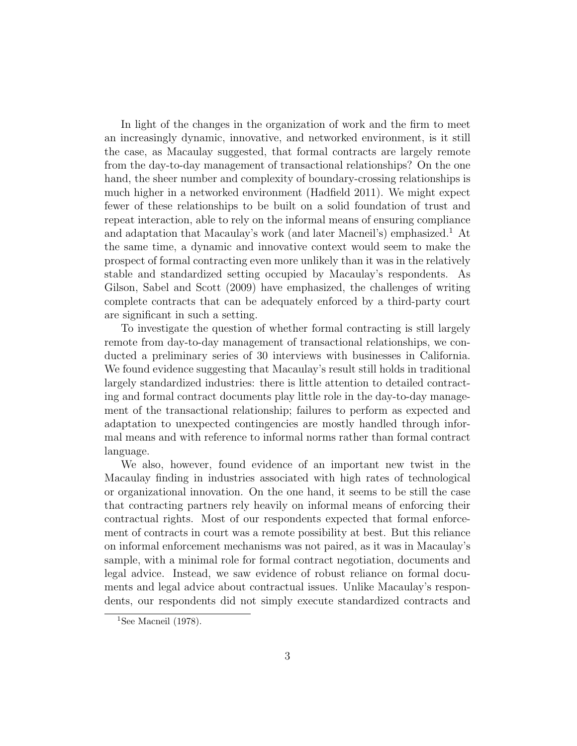In light of the changes in the organization of work and the firm to meet an increasingly dynamic, innovative, and networked environment, is it still the case, as Macaulay suggested, that formal contracts are largely remote from the day-to-day management of transactional relationships? On the one hand, the sheer number and complexity of boundary-crossing relationships is much higher in a networked environment (Hadfield 2011). We might expect fewer of these relationships to be built on a solid foundation of trust and repeat interaction, able to rely on the informal means of ensuring compliance and adaptation that Macaulay's work (and later Macneil's) emphasized.<sup>1</sup> At the same time, a dynamic and innovative context would seem to make the prospect of formal contracting even more unlikely than it was in the relatively stable and standardized setting occupied by Macaulay's respondents. As Gilson, Sabel and Scott (2009) have emphasized, the challenges of writing complete contracts that can be adequately enforced by a third-party court are significant in such a setting.

To investigate the question of whether formal contracting is still largely remote from day-to-day management of transactional relationships, we conducted a preliminary series of 30 interviews with businesses in California. We found evidence suggesting that Macaulay's result still holds in traditional largely standardized industries: there is little attention to detailed contracting and formal contract documents play little role in the day-to-day management of the transactional relationship; failures to perform as expected and adaptation to unexpected contingencies are mostly handled through informal means and with reference to informal norms rather than formal contract language.

We also, however, found evidence of an important new twist in the Macaulay finding in industries associated with high rates of technological or organizational innovation. On the one hand, it seems to be still the case that contracting partners rely heavily on informal means of enforcing their contractual rights. Most of our respondents expected that formal enforcement of contracts in court was a remote possibility at best. But this reliance on informal enforcement mechanisms was not paired, as it was in Macaulay's sample, with a minimal role for formal contract negotiation, documents and legal advice. Instead, we saw evidence of robust reliance on formal documents and legal advice about contractual issues. Unlike Macaulay's respondents, our respondents did not simply execute standardized contracts and

<sup>&</sup>lt;sup>1</sup>See Macneil (1978).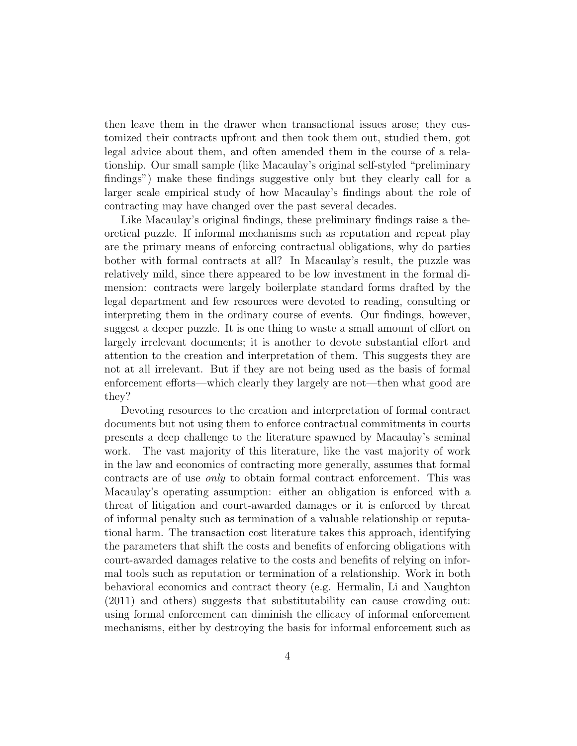then leave them in the drawer when transactional issues arose; they customized their contracts upfront and then took them out, studied them, got legal advice about them, and often amended them in the course of a relationship. Our small sample (like Macaulay's original self-styled "preliminary findings") make these findings suggestive only but they clearly call for a larger scale empirical study of how Macaulay's findings about the role of contracting may have changed over the past several decades.

Like Macaulay's original findings, these preliminary findings raise a theoretical puzzle. If informal mechanisms such as reputation and repeat play are the primary means of enforcing contractual obligations, why do parties bother with formal contracts at all? In Macaulay's result, the puzzle was relatively mild, since there appeared to be low investment in the formal dimension: contracts were largely boilerplate standard forms drafted by the legal department and few resources were devoted to reading, consulting or interpreting them in the ordinary course of events. Our findings, however, suggest a deeper puzzle. It is one thing to waste a small amount of effort on largely irrelevant documents; it is another to devote substantial effort and attention to the creation and interpretation of them. This suggests they are not at all irrelevant. But if they are not being used as the basis of formal enforcement efforts—which clearly they largely are not—then what good are they?

Devoting resources to the creation and interpretation of formal contract documents but not using them to enforce contractual commitments in courts presents a deep challenge to the literature spawned by Macaulay's seminal work. The vast majority of this literature, like the vast majority of work in the law and economics of contracting more generally, assumes that formal contracts are of use *only* to obtain formal contract enforcement. This was Macaulay's operating assumption: either an obligation is enforced with a threat of litigation and court-awarded damages or it is enforced by threat of informal penalty such as termination of a valuable relationship or reputational harm. The transaction cost literature takes this approach, identifying the parameters that shift the costs and benefits of enforcing obligations with court-awarded damages relative to the costs and benefits of relying on informal tools such as reputation or termination of a relationship. Work in both behavioral economics and contract theory (e.g. Hermalin, Li and Naughton (2011) and others) suggests that substitutability can cause crowding out: using formal enforcement can diminish the efficacy of informal enforcement mechanisms, either by destroying the basis for informal enforcement such as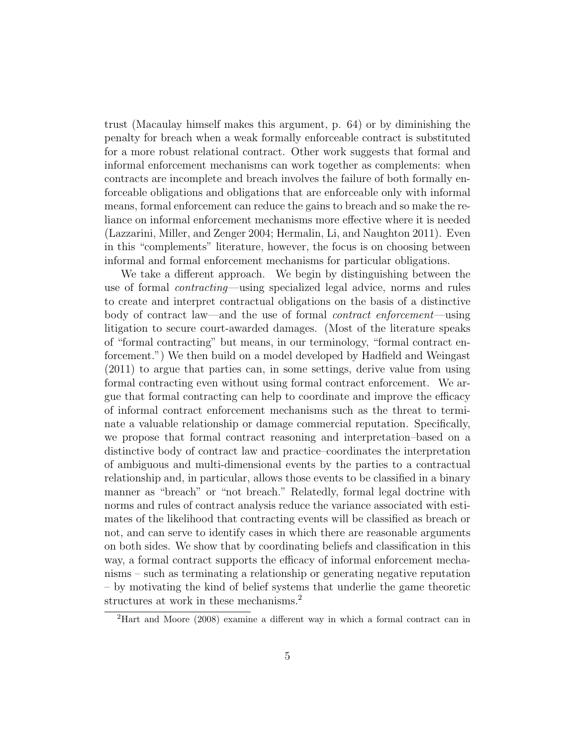trust (Macaulay himself makes this argument, p. 64) or by diminishing the penalty for breach when a weak formally enforceable contract is substituted for a more robust relational contract. Other work suggests that formal and informal enforcement mechanisms can work together as complements: when contracts are incomplete and breach involves the failure of both formally enforceable obligations and obligations that are enforceable only with informal means, formal enforcement can reduce the gains to breach and so make the reliance on informal enforcement mechanisms more effective where it is needed (Lazzarini, Miller, and Zenger 2004; Hermalin, Li, and Naughton 2011). Even in this "complements" literature, however, the focus is on choosing between informal and formal enforcement mechanisms for particular obligations.

We take a different approach. We begin by distinguishing between the use of formal *contracting*—using specialized legal advice, norms and rules to create and interpret contractual obligations on the basis of a distinctive body of contract law—and the use of formal *contract enforcement*—using litigation to secure court-awarded damages. (Most of the literature speaks of "formal contracting" but means, in our terminology, "formal contract enforcement.") We then build on a model developed by Hadfield and Weingast (2011) to argue that parties can, in some settings, derive value from using formal contracting even without using formal contract enforcement. We argue that formal contracting can help to coordinate and improve the efficacy of informal contract enforcement mechanisms such as the threat to terminate a valuable relationship or damage commercial reputation. Specifically, we propose that formal contract reasoning and interpretation–based on a distinctive body of contract law and practice–coordinates the interpretation of ambiguous and multi-dimensional events by the parties to a contractual relationship and, in particular, allows those events to be classified in a binary manner as "breach" or "not breach." Relatedly, formal legal doctrine with norms and rules of contract analysis reduce the variance associated with estimates of the likelihood that contracting events will be classified as breach or not, and can serve to identify cases in which there are reasonable arguments on both sides. We show that by coordinating beliefs and classification in this way, a formal contract supports the efficacy of informal enforcement mechanisms – such as terminating a relationship or generating negative reputation – by motivating the kind of belief systems that underlie the game theoretic structures at work in these mechanisms.<sup>2</sup>

<sup>2</sup>Hart and Moore (2008) examine a different way in which a formal contract can in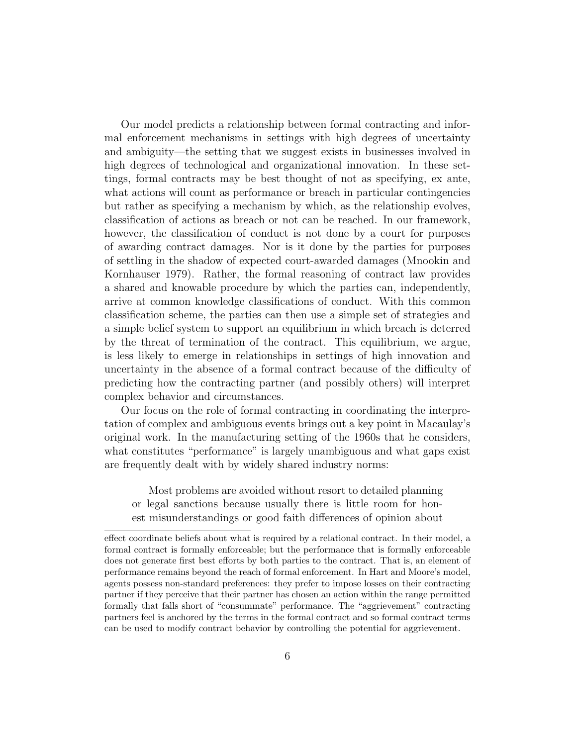Our model predicts a relationship between formal contracting and informal enforcement mechanisms in settings with high degrees of uncertainty and ambiguity—the setting that we suggest exists in businesses involved in high degrees of technological and organizational innovation. In these settings, formal contracts may be best thought of not as specifying, ex ante, what actions will count as performance or breach in particular contingencies but rather as specifying a mechanism by which, as the relationship evolves, classification of actions as breach or not can be reached. In our framework, however, the classification of conduct is not done by a court for purposes of awarding contract damages. Nor is it done by the parties for purposes of settling in the shadow of expected court-awarded damages (Mnookin and Kornhauser 1979). Rather, the formal reasoning of contract law provides a shared and knowable procedure by which the parties can, independently, arrive at common knowledge classifications of conduct. With this common classification scheme, the parties can then use a simple set of strategies and a simple belief system to support an equilibrium in which breach is deterred by the threat of termination of the contract. This equilibrium, we argue, is less likely to emerge in relationships in settings of high innovation and uncertainty in the absence of a formal contract because of the difficulty of predicting how the contracting partner (and possibly others) will interpret complex behavior and circumstances.

Our focus on the role of formal contracting in coordinating the interpretation of complex and ambiguous events brings out a key point in Macaulay's original work. In the manufacturing setting of the 1960s that he considers, what constitutes "performance" is largely unambiguous and what gaps exist are frequently dealt with by widely shared industry norms:

Most problems are avoided without resort to detailed planning or legal sanctions because usually there is little room for honest misunderstandings or good faith differences of opinion about

effect coordinate beliefs about what is required by a relational contract. In their model, a formal contract is formally enforceable; but the performance that is formally enforceable does not generate first best efforts by both parties to the contract. That is, an element of performance remains beyond the reach of formal enforcement. In Hart and Moore's model, agents possess non-standard preferences: they prefer to impose losses on their contracting partner if they perceive that their partner has chosen an action within the range permitted formally that falls short of "consummate" performance. The "aggrievement" contracting partners feel is anchored by the terms in the formal contract and so formal contract terms can be used to modify contract behavior by controlling the potential for aggrievement.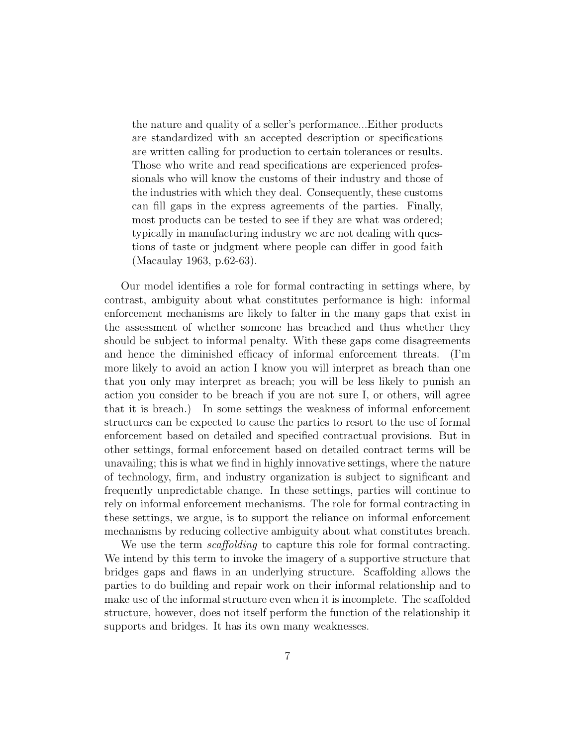the nature and quality of a seller's performance...Either products are standardized with an accepted description or specifications are written calling for production to certain tolerances or results. Those who write and read specifications are experienced professionals who will know the customs of their industry and those of the industries with which they deal. Consequently, these customs can fill gaps in the express agreements of the parties. Finally, most products can be tested to see if they are what was ordered; typically in manufacturing industry we are not dealing with questions of taste or judgment where people can differ in good faith (Macaulay 1963, p.62-63).

Our model identifies a role for formal contracting in settings where, by contrast, ambiguity about what constitutes performance is high: informal enforcement mechanisms are likely to falter in the many gaps that exist in the assessment of whether someone has breached and thus whether they should be subject to informal penalty. With these gaps come disagreements and hence the diminished efficacy of informal enforcement threats. (I'm more likely to avoid an action I know you will interpret as breach than one that you only may interpret as breach; you will be less likely to punish an action you consider to be breach if you are not sure I, or others, will agree that it is breach.) In some settings the weakness of informal enforcement structures can be expected to cause the parties to resort to the use of formal enforcement based on detailed and specified contractual provisions. But in other settings, formal enforcement based on detailed contract terms will be unavailing; this is what we find in highly innovative settings, where the nature of technology, firm, and industry organization is subject to significant and frequently unpredictable change. In these settings, parties will continue to rely on informal enforcement mechanisms. The role for formal contracting in these settings, we argue, is to support the reliance on informal enforcement mechanisms by reducing collective ambiguity about what constitutes breach.

We use the term *scaffolding* to capture this role for formal contracting. We intend by this term to invoke the imagery of a supportive structure that bridges gaps and flaws in an underlying structure. Scaffolding allows the parties to do building and repair work on their informal relationship and to make use of the informal structure even when it is incomplete. The scaffolded structure, however, does not itself perform the function of the relationship it supports and bridges. It has its own many weaknesses.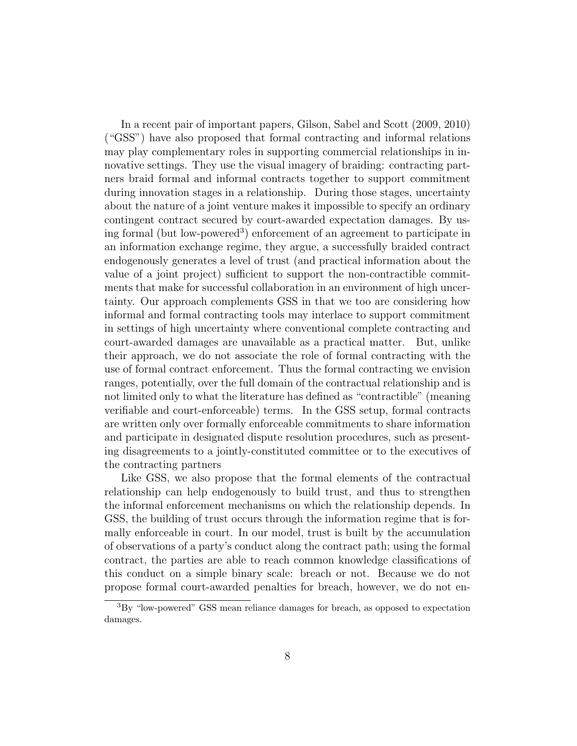In a recent pair of important papers, Gilson, Sabel and Scott (2009, 2010) ("GSS") have also proposed that formal contracting and informal relations may play complementary roles in supporting commercial relationships in innovative settings. They use the visual imagery of braiding: contracting partners braid formal and informal contracts together to support commitment during innovation stages in a relationship. During those stages, uncertainty about the nature of a joint venture makes it impossible to specify an ordinary contingent contract secured by court-awarded expectation damages. By using formal (but low-powered<sup>3</sup>) enforcement of an agreement to participate in an information exchange regime, they argue, a successfully braided contract endogenously generates a level of trust (and practical information about the value of a joint project) sufficient to support the non-contractible commitments that make for successful collaboration in an environment of high uncertainty. Our approach complements GSS in that we too are considering how informal and formal contracting tools may interlace to support commitment in settings of high uncertainty where conventional complete contracting and court-awarded damages are unavailable as a practical matter. But, unlike their approach, we do not associate the role of formal contracting with the use of formal contract enforcement. Thus the formal contracting we envision ranges, potentially, over the full domain of the contractual relationship and is not limited only to what the literature has defined as "contractible" (meaning verifiable and court-enforceable) terms. In the GSS setup, formal contracts are written only over formally enforceable commitments to share information and participate in designated dispute resolution procedures, such as presenting disagreements to a jointly-constituted committee or to the executives of the contracting partners

Like GSS, we also propose that the formal elements of the contractual relationship can help endogenously to build trust, and thus to strengthen the informal enforcement mechanisms on which the relationship depends. In GSS, the building of trust occurs through the information regime that is formally enforceable in court. In our model, trust is built by the accumulation of observations of a party's conduct along the contract path; using the formal contract, the parties are able to reach common knowledge classifications of this conduct on a simple binary scale: breach or not. Because we do not propose formal court-awarded penalties for breach, however, we do not en-

<sup>3</sup>By "low-powered" GSS mean reliance damages for breach, as opposed to expectation damages.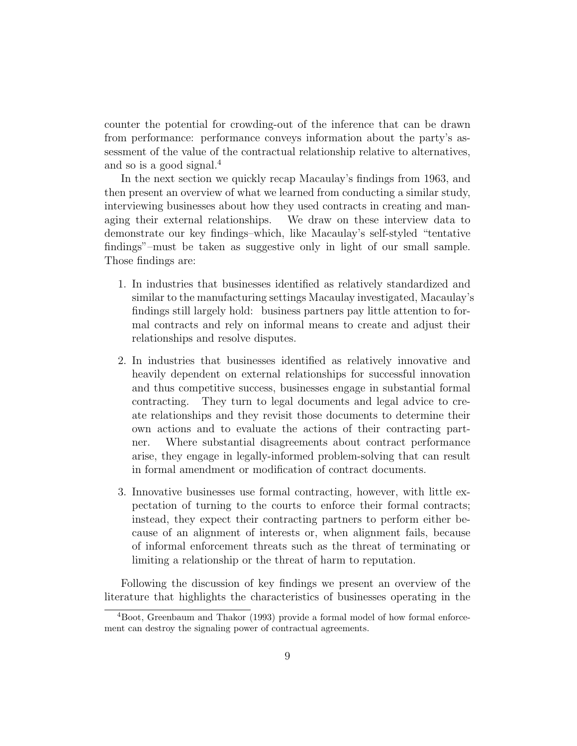counter the potential for crowding-out of the inference that can be drawn from performance: performance conveys information about the party's assessment of the value of the contractual relationship relative to alternatives, and so is a good signal.<sup>4</sup>

In the next section we quickly recap Macaulay's findings from 1963, and then present an overview of what we learned from conducting a similar study, interviewing businesses about how they used contracts in creating and managing their external relationships. We draw on these interview data to demonstrate our key findings–which, like Macaulay's self-styled "tentative findings"–must be taken as suggestive only in light of our small sample. Those findings are:

- 1. In industries that businesses identified as relatively standardized and similar to the manufacturing settings Macaulay investigated, Macaulay's findings still largely hold: business partners pay little attention to formal contracts and rely on informal means to create and adjust their relationships and resolve disputes.
- 2. In industries that businesses identified as relatively innovative and heavily dependent on external relationships for successful innovation and thus competitive success, businesses engage in substantial formal contracting. They turn to legal documents and legal advice to create relationships and they revisit those documents to determine their own actions and to evaluate the actions of their contracting partner. Where substantial disagreements about contract performance arise, they engage in legally-informed problem-solving that can result in formal amendment or modification of contract documents.
- 3. Innovative businesses use formal contracting, however, with little expectation of turning to the courts to enforce their formal contracts; instead, they expect their contracting partners to perform either because of an alignment of interests or, when alignment fails, because of informal enforcement threats such as the threat of terminating or limiting a relationship or the threat of harm to reputation.

Following the discussion of key findings we present an overview of the literature that highlights the characteristics of businesses operating in the

<sup>4</sup>Boot, Greenbaum and Thakor (1993) provide a formal model of how formal enforcement can destroy the signaling power of contractual agreements.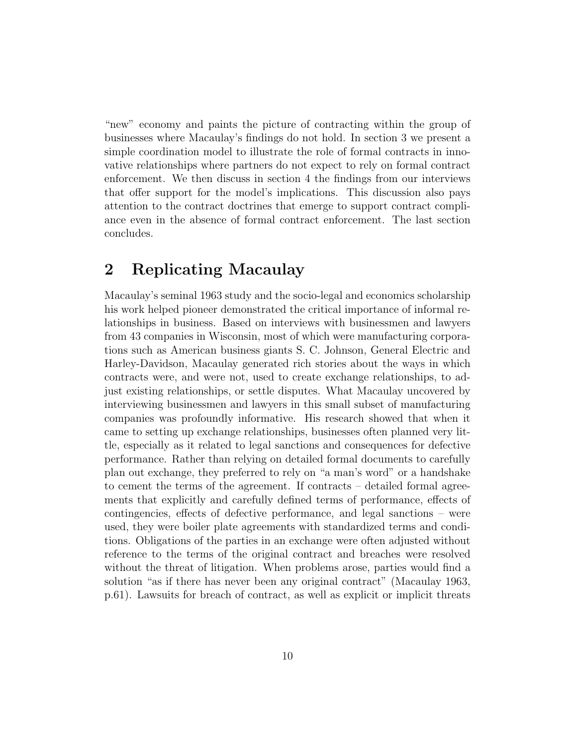"new" economy and paints the picture of contracting within the group of businesses where Macaulay's findings do not hold. In section 3 we present a simple coordination model to illustrate the role of formal contracts in innovative relationships where partners do not expect to rely on formal contract enforcement. We then discuss in section 4 the findings from our interviews that offer support for the model's implications. This discussion also pays attention to the contract doctrines that emerge to support contract compliance even in the absence of formal contract enforcement. The last section concludes.

### **2 Replicating Macaulay**

Macaulay's seminal 1963 study and the socio-legal and economics scholarship his work helped pioneer demonstrated the critical importance of informal relationships in business. Based on interviews with businessmen and lawyers from 43 companies in Wisconsin, most of which were manufacturing corporations such as American business giants S. C. Johnson, General Electric and Harley-Davidson, Macaulay generated rich stories about the ways in which contracts were, and were not, used to create exchange relationships, to adjust existing relationships, or settle disputes. What Macaulay uncovered by interviewing businessmen and lawyers in this small subset of manufacturing companies was profoundly informative. His research showed that when it came to setting up exchange relationships, businesses often planned very little, especially as it related to legal sanctions and consequences for defective performance. Rather than relying on detailed formal documents to carefully plan out exchange, they preferred to rely on "a man's word" or a handshake to cement the terms of the agreement. If contracts – detailed formal agreements that explicitly and carefully defined terms of performance, effects of contingencies, effects of defective performance, and legal sanctions – were used, they were boiler plate agreements with standardized terms and conditions. Obligations of the parties in an exchange were often adjusted without reference to the terms of the original contract and breaches were resolved without the threat of litigation. When problems arose, parties would find a solution "as if there has never been any original contract" (Macaulay 1963, p.61). Lawsuits for breach of contract, as well as explicit or implicit threats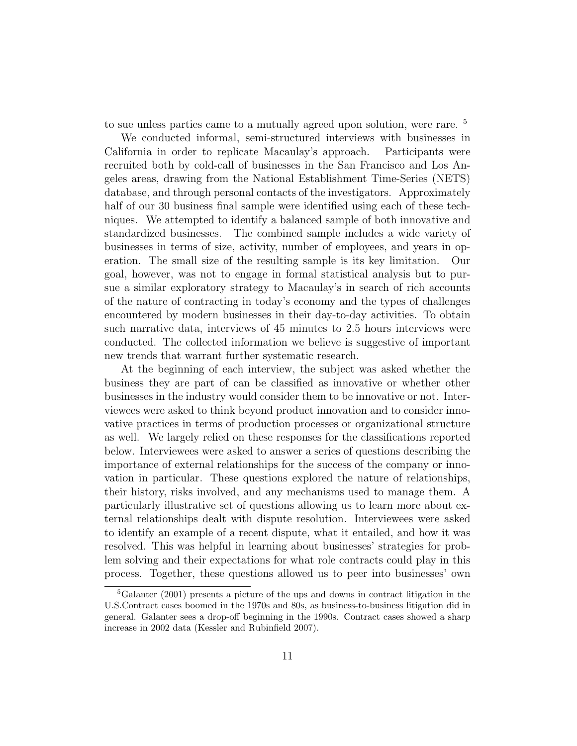to sue unless parties came to a mutually agreed upon solution, were rare. <sup>5</sup>

We conducted informal, semi-structured interviews with businesses in California in order to replicate Macaulay's approach. Participants were recruited both by cold-call of businesses in the San Francisco and Los Angeles areas, drawing from the National Establishment Time-Series (NETS) database, and through personal contacts of the investigators. Approximately half of our 30 business final sample were identified using each of these techniques. We attempted to identify a balanced sample of both innovative and standardized businesses. The combined sample includes a wide variety of businesses in terms of size, activity, number of employees, and years in operation. The small size of the resulting sample is its key limitation. Our goal, however, was not to engage in formal statistical analysis but to pursue a similar exploratory strategy to Macaulay's in search of rich accounts of the nature of contracting in today's economy and the types of challenges encountered by modern businesses in their day-to-day activities. To obtain such narrative data, interviews of 45 minutes to 2.5 hours interviews were conducted. The collected information we believe is suggestive of important new trends that warrant further systematic research.

At the beginning of each interview, the subject was asked whether the business they are part of can be classified as innovative or whether other businesses in the industry would consider them to be innovative or not. Interviewees were asked to think beyond product innovation and to consider innovative practices in terms of production processes or organizational structure as well. We largely relied on these responses for the classifications reported below. Interviewees were asked to answer a series of questions describing the importance of external relationships for the success of the company or innovation in particular. These questions explored the nature of relationships, their history, risks involved, and any mechanisms used to manage them. A particularly illustrative set of questions allowing us to learn more about external relationships dealt with dispute resolution. Interviewees were asked to identify an example of a recent dispute, what it entailed, and how it was resolved. This was helpful in learning about businesses' strategies for problem solving and their expectations for what role contracts could play in this process. Together, these questions allowed us to peer into businesses' own

<sup>5</sup>Galanter (2001) presents a picture of the ups and downs in contract litigation in the U.S.Contract cases boomed in the 1970s and 80s, as business-to-business litigation did in general. Galanter sees a drop-off beginning in the 1990s. Contract cases showed a sharp increase in 2002 data (Kessler and Rubinfield 2007).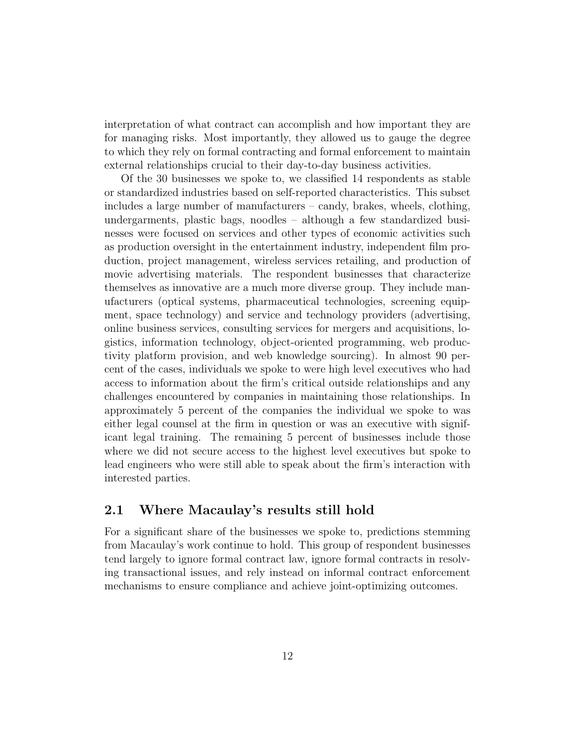interpretation of what contract can accomplish and how important they are for managing risks. Most importantly, they allowed us to gauge the degree to which they rely on formal contracting and formal enforcement to maintain external relationships crucial to their day-to-day business activities.

Of the 30 businesses we spoke to, we classified 14 respondents as stable or standardized industries based on self-reported characteristics. This subset includes a large number of manufacturers – candy, brakes, wheels, clothing, undergarments, plastic bags, noodles – although a few standardized businesses were focused on services and other types of economic activities such as production oversight in the entertainment industry, independent film production, project management, wireless services retailing, and production of movie advertising materials. The respondent businesses that characterize themselves as innovative are a much more diverse group. They include manufacturers (optical systems, pharmaceutical technologies, screening equipment, space technology) and service and technology providers (advertising, online business services, consulting services for mergers and acquisitions, logistics, information technology, object-oriented programming, web productivity platform provision, and web knowledge sourcing). In almost 90 percent of the cases, individuals we spoke to were high level executives who had access to information about the firm's critical outside relationships and any challenges encountered by companies in maintaining those relationships. In approximately 5 percent of the companies the individual we spoke to was either legal counsel at the firm in question or was an executive with significant legal training. The remaining 5 percent of businesses include those where we did not secure access to the highest level executives but spoke to lead engineers who were still able to speak about the firm's interaction with interested parties.

#### **2.1 Where Macaulay's results still hold**

For a significant share of the businesses we spoke to, predictions stemming from Macaulay's work continue to hold. This group of respondent businesses tend largely to ignore formal contract law, ignore formal contracts in resolving transactional issues, and rely instead on informal contract enforcement mechanisms to ensure compliance and achieve joint-optimizing outcomes.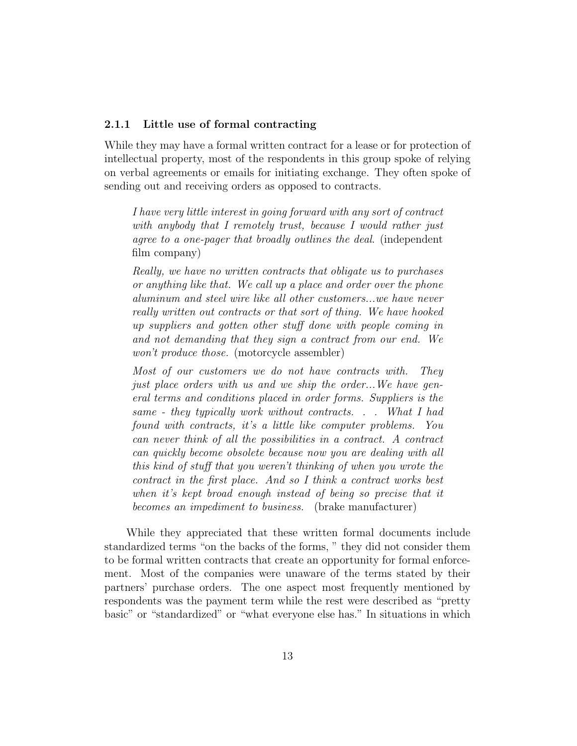#### **2.1.1 Little use of formal contracting**

While they may have a formal written contract for a lease or for protection of intellectual property, most of the respondents in this group spoke of relying on verbal agreements or emails for initiating exchange. They often spoke of sending out and receiving orders as opposed to contracts.

*I have very little interest in going forward with any sort of contract with anybody that I remotely trust, because I would rather just agree to a one-pager that broadly outlines the deal*. (independent film company)

*Really, we have no written contracts that obligate us to purchases or anything like that. We call up a place and order over the phone aluminum and steel wire like all other customers...we have never really written out contracts or that sort of thing. We have hooked up suppliers and gotten other stuff done with people coming in and not demanding that they sign a contract from our end. We won't produce those.* (motorcycle assembler)

*Most of our customers we do not have contracts with. They just place orders with us and we ship the order...We have general terms and conditions placed in order forms. Suppliers is the same - they typically work without contracts. . . What I had found with contracts, it's a little like computer problems. You can never think of all the possibilities in a contract. A contract can quickly become obsolete because now you are dealing with all this kind of stuff that you weren't thinking of when you wrote the contract in the first place. And so I think a contract works best when it's kept broad enough instead of being so precise that it becomes an impediment to business.* (brake manufacturer)

While they appreciated that these written formal documents include standardized terms "on the backs of the forms, " they did not consider them to be formal written contracts that create an opportunity for formal enforcement. Most of the companies were unaware of the terms stated by their partners' purchase orders. The one aspect most frequently mentioned by respondents was the payment term while the rest were described as "pretty basic" or "standardized" or "what everyone else has." In situations in which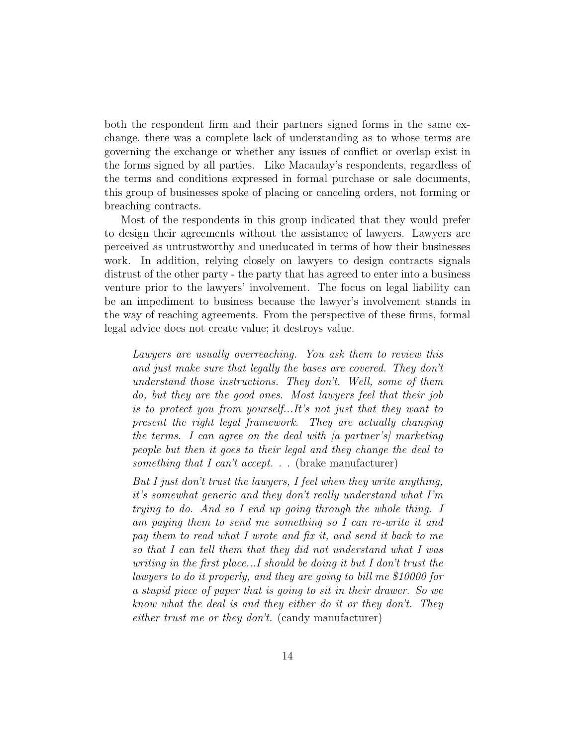both the respondent firm and their partners signed forms in the same exchange, there was a complete lack of understanding as to whose terms are governing the exchange or whether any issues of conflict or overlap exist in the forms signed by all parties. Like Macaulay's respondents, regardless of the terms and conditions expressed in formal purchase or sale documents, this group of businesses spoke of placing or canceling orders, not forming or breaching contracts.

Most of the respondents in this group indicated that they would prefer to design their agreements without the assistance of lawyers. Lawyers are perceived as untrustworthy and uneducated in terms of how their businesses work. In addition, relying closely on lawyers to design contracts signals distrust of the other party - the party that has agreed to enter into a business venture prior to the lawyers' involvement. The focus on legal liability can be an impediment to business because the lawyer's involvement stands in the way of reaching agreements. From the perspective of these firms, formal legal advice does not create value; it destroys value.

*Lawyers are usually overreaching. You ask them to review this and just make sure that legally the bases are covered. They don't understand those instructions. They don't. Well, some of them do, but they are the good ones. Most lawyers feel that their job is to protect you from yourself...It's not just that they want to present the right legal framework. They are actually changing the terms. I can agree on the deal with [a partner's] marketing people but then it goes to their legal and they change the deal to something that I can't accept. . .* (brake manufacturer)

*But I just don't trust the lawyers, I feel when they write anything, it's somewhat generic and they don't really understand what I'm trying to do. And so I end up going through the whole thing. I am paying them to send me something so I can re-write it and pay them to read what I wrote and fix it, and send it back to me so that I can tell them that they did not understand what I was writing in the first place...I should be doing it but I don't trust the lawyers to do it properly, and they are going to bill me \$10000 for a stupid piece of paper that is going to sit in their drawer. So we know what the deal is and they either do it or they don't. They either trust me or they don't.* (candy manufacturer)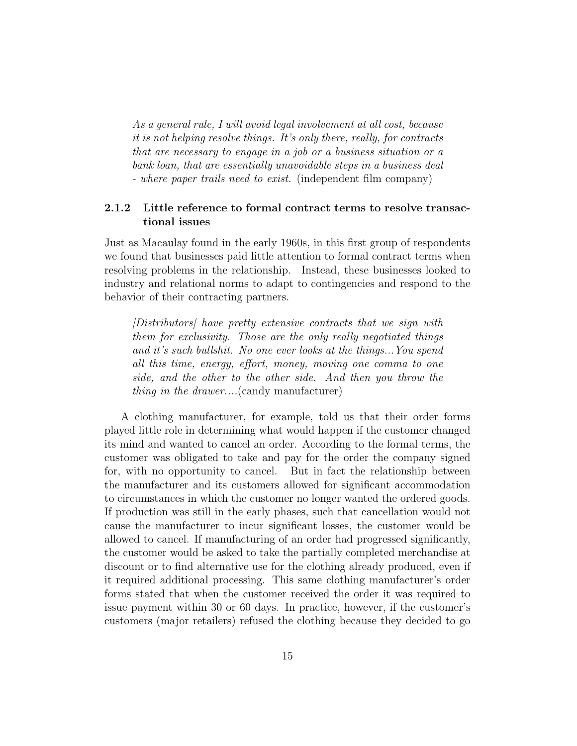*As a general rule, I will avoid legal involvement at all cost, because it is not helping resolve things. It's only there, really, for contracts that are necessary to engage in a job or a business situation or a bank loan, that are essentially unavoidable steps in a business deal - where paper trails need to exist.* (independent film company)

#### **2.1.2 Little reference to formal contract terms to resolve transactional issues**

Just as Macaulay found in the early 1960s, in this first group of respondents we found that businesses paid little attention to formal contract terms when resolving problems in the relationship. Instead, these businesses looked to industry and relational norms to adapt to contingencies and respond to the behavior of their contracting partners.

*[Distributors] have pretty extensive contracts that we sign with them for exclusivity. Those are the only really negotiated things and it's such bullshit. No one ever looks at the things...You spend all this time, energy, effort, money, moving one comma to one side, and the other to the other side. And then you throw the thing in the drawer....*(candy manufacturer)

A clothing manufacturer, for example, told us that their order forms played little role in determining what would happen if the customer changed its mind and wanted to cancel an order. According to the formal terms, the customer was obligated to take and pay for the order the company signed for, with no opportunity to cancel. But in fact the relationship between the manufacturer and its customers allowed for significant accommodation to circumstances in which the customer no longer wanted the ordered goods. If production was still in the early phases, such that cancellation would not cause the manufacturer to incur significant losses, the customer would be allowed to cancel. If manufacturing of an order had progressed significantly, the customer would be asked to take the partially completed merchandise at discount or to find alternative use for the clothing already produced, even if it required additional processing. This same clothing manufacturer's order forms stated that when the customer received the order it was required to issue payment within 30 or 60 days. In practice, however, if the customer's customers (major retailers) refused the clothing because they decided to go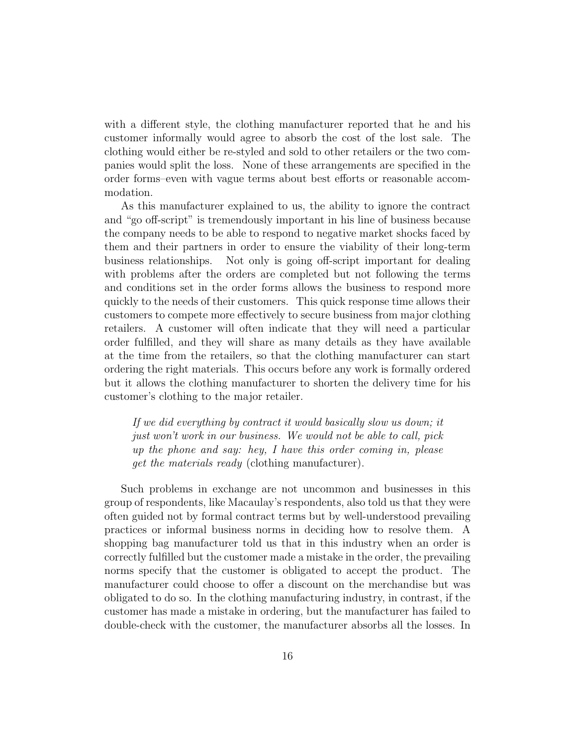with a different style, the clothing manufacturer reported that he and his customer informally would agree to absorb the cost of the lost sale. The clothing would either be re-styled and sold to other retailers or the two companies would split the loss. None of these arrangements are specified in the order forms–even with vague terms about best efforts or reasonable accommodation.

As this manufacturer explained to us, the ability to ignore the contract and "go off-script" is tremendously important in his line of business because the company needs to be able to respond to negative market shocks faced by them and their partners in order to ensure the viability of their long-term business relationships. Not only is going off-script important for dealing with problems after the orders are completed but not following the terms and conditions set in the order forms allows the business to respond more quickly to the needs of their customers. This quick response time allows their customers to compete more effectively to secure business from major clothing retailers. A customer will often indicate that they will need a particular order fulfilled, and they will share as many details as they have available at the time from the retailers, so that the clothing manufacturer can start ordering the right materials. This occurs before any work is formally ordered but it allows the clothing manufacturer to shorten the delivery time for his customer's clothing to the major retailer.

*If we did everything by contract it would basically slow us down; it just won't work in our business. We would not be able to call, pick up the phone and say: hey, I have this order coming in, please get the materials ready* (clothing manufacturer).

Such problems in exchange are not uncommon and businesses in this group of respondents, like Macaulay's respondents, also told us that they were often guided not by formal contract terms but by well-understood prevailing practices or informal business norms in deciding how to resolve them. A shopping bag manufacturer told us that in this industry when an order is correctly fulfilled but the customer made a mistake in the order, the prevailing norms specify that the customer is obligated to accept the product. The manufacturer could choose to offer a discount on the merchandise but was obligated to do so. In the clothing manufacturing industry, in contrast, if the customer has made a mistake in ordering, but the manufacturer has failed to double-check with the customer, the manufacturer absorbs all the losses. In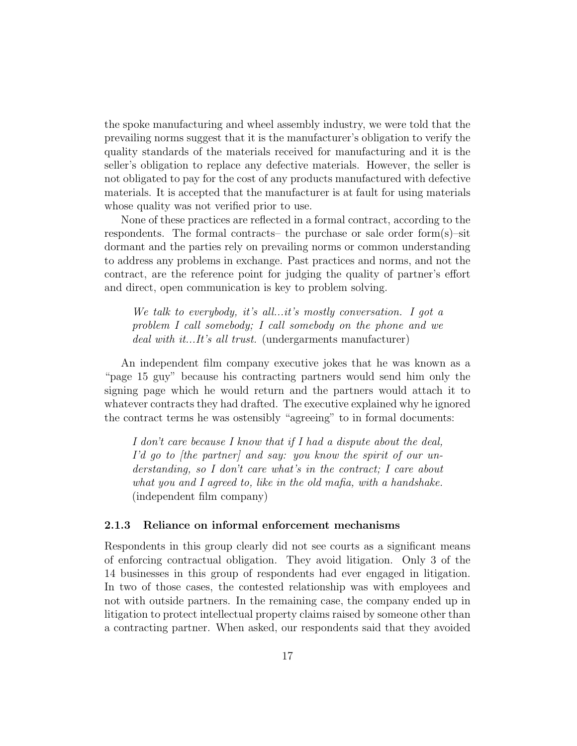the spoke manufacturing and wheel assembly industry, we were told that the prevailing norms suggest that it is the manufacturer's obligation to verify the quality standards of the materials received for manufacturing and it is the seller's obligation to replace any defective materials. However, the seller is not obligated to pay for the cost of any products manufactured with defective materials. It is accepted that the manufacturer is at fault for using materials whose quality was not verified prior to use.

None of these practices are reflected in a formal contract, according to the respondents. The formal contracts– the purchase or sale order form(s)–sit dormant and the parties rely on prevailing norms or common understanding to address any problems in exchange. Past practices and norms, and not the contract, are the reference point for judging the quality of partner's effort and direct, open communication is key to problem solving.

*We talk to everybody, it's all...it's mostly conversation. I got a problem I call somebody; I call somebody on the phone and we deal with it...It's all trust.* (undergarments manufacturer)

An independent film company executive jokes that he was known as a "page 15 guy" because his contracting partners would send him only the signing page which he would return and the partners would attach it to whatever contracts they had drafted. The executive explained why he ignored the contract terms he was ostensibly "agreeing" to in formal documents:

*I don't care because I know that if I had a dispute about the deal, I'd go to [the partner] and say: you know the spirit of our understanding, so I don't care what's in the contract; I care about what you and I agreed to, like in the old mafia, with a handshake.* (independent film company)

#### **2.1.3 Reliance on informal enforcement mechanisms**

Respondents in this group clearly did not see courts as a significant means of enforcing contractual obligation. They avoid litigation. Only 3 of the 14 businesses in this group of respondents had ever engaged in litigation. In two of those cases, the contested relationship was with employees and not with outside partners. In the remaining case, the company ended up in litigation to protect intellectual property claims raised by someone other than a contracting partner. When asked, our respondents said that they avoided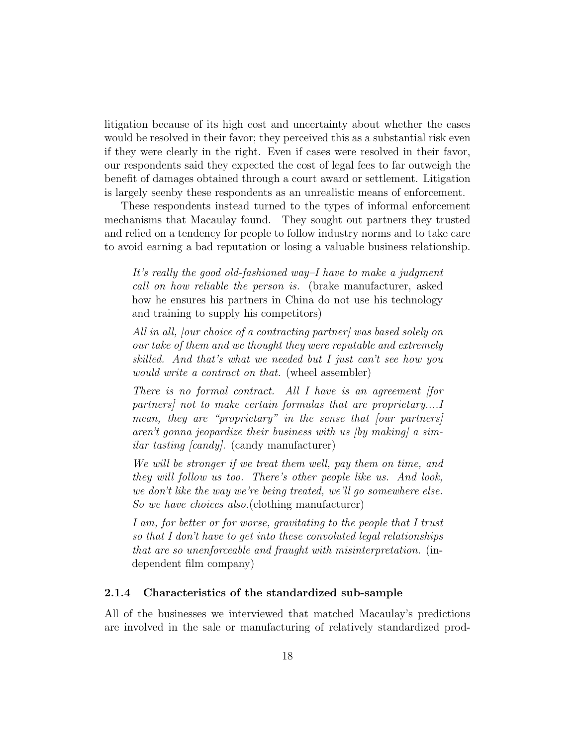litigation because of its high cost and uncertainty about whether the cases would be resolved in their favor; they perceived this as a substantial risk even if they were clearly in the right. Even if cases were resolved in their favor, our respondents said they expected the cost of legal fees to far outweigh the benefit of damages obtained through a court award or settlement. Litigation is largely seenby these respondents as an unrealistic means of enforcement.

These respondents instead turned to the types of informal enforcement mechanisms that Macaulay found. They sought out partners they trusted and relied on a tendency for people to follow industry norms and to take care to avoid earning a bad reputation or losing a valuable business relationship.

*It's really the good old-fashioned way–I have to make a judgment call on how reliable the person is.* (brake manufacturer, asked how he ensures his partners in China do not use his technology and training to supply his competitors)

*All in all, [our choice of a contracting partner] was based solely on our take of them and we thought they were reputable and extremely skilled. And that's what we needed but I just can't see how you would write a contract on that.* (wheel assembler)

*There is no formal contract. All I have is an agreement [for partners] not to make certain formulas that are proprietary....I mean, they are "proprietary" in the sense that [our partners] aren't gonna jeopardize their business with us [by making] a similar tasting [candy].* (candy manufacturer)

*We will be stronger if we treat them well, pay them on time, and they will follow us too. There's other people like us. And look, we don't like the way we're being treated, we'll go somewhere else. So we have choices also.*(clothing manufacturer)

*I am, for better or for worse, gravitating to the people that I trust so that I don't have to get into these convoluted legal relationships that are so unenforceable and fraught with misinterpretation.* (independent film company)

#### **2.1.4 Characteristics of the standardized sub-sample**

All of the businesses we interviewed that matched Macaulay's predictions are involved in the sale or manufacturing of relatively standardized prod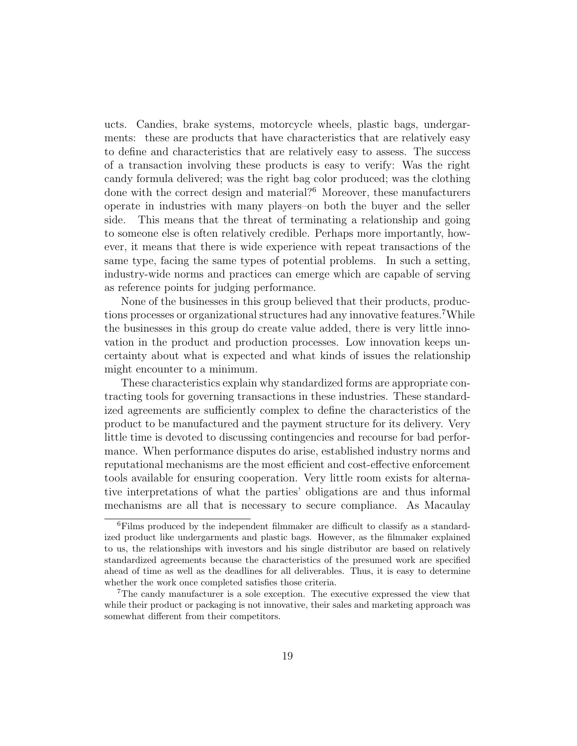ucts. Candies, brake systems, motorcycle wheels, plastic bags, undergarments: these are products that have characteristics that are relatively easy to define and characteristics that are relatively easy to assess. The success of a transaction involving these products is easy to verify: Was the right candy formula delivered; was the right bag color produced; was the clothing done with the correct design and material?<sup>6</sup> Moreover, these manufacturers operate in industries with many players–on both the buyer and the seller side. This means that the threat of terminating a relationship and going to someone else is often relatively credible. Perhaps more importantly, however, it means that there is wide experience with repeat transactions of the same type, facing the same types of potential problems. In such a setting, industry-wide norms and practices can emerge which are capable of serving as reference points for judging performance.

None of the businesses in this group believed that their products, productions processes or organizational structures had any innovative features. While the businesses in this group do create value added, there is very little innovation in the product and production processes. Low innovation keeps uncertainty about what is expected and what kinds of issues the relationship might encounter to a minimum.

These characteristics explain why standardized forms are appropriate contracting tools for governing transactions in these industries. These standardized agreements are sufficiently complex to define the characteristics of the product to be manufactured and the payment structure for its delivery. Very little time is devoted to discussing contingencies and recourse for bad performance. When performance disputes do arise, established industry norms and reputational mechanisms are the most efficient and cost-effective enforcement tools available for ensuring cooperation. Very little room exists for alternative interpretations of what the parties' obligations are and thus informal mechanisms are all that is necessary to secure compliance. As Macaulay

<sup>6</sup>Films produced by the independent filmmaker are difficult to classify as a standardized product like undergarments and plastic bags. However, as the filmmaker explained to us, the relationships with investors and his single distributor are based on relatively standardized agreements because the characteristics of the presumed work are specified ahead of time as well as the deadlines for all deliverables. Thus, it is easy to determine whether the work once completed satisfies those criteria.

<sup>7</sup>The candy manufacturer is a sole exception. The executive expressed the view that while their product or packaging is not innovative, their sales and marketing approach was somewhat different from their competitors.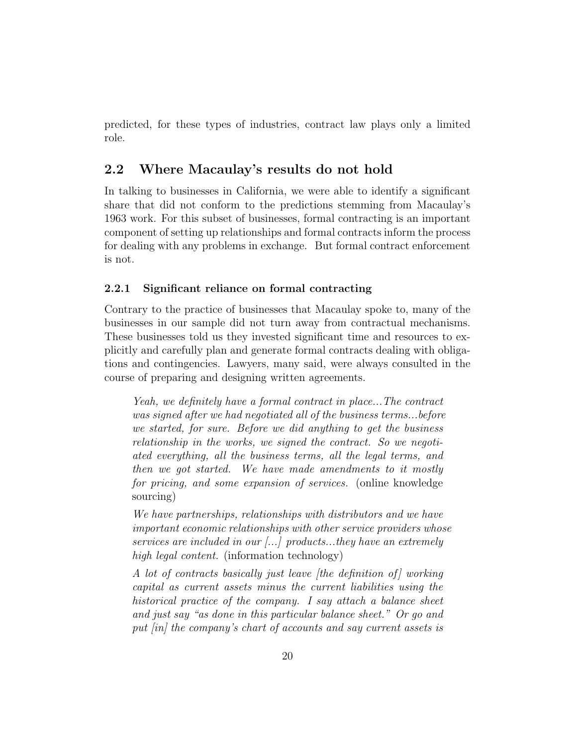predicted, for these types of industries, contract law plays only a limited role.

#### **2.2 Where Macaulay's results do not hold**

In talking to businesses in California, we were able to identify a significant share that did not conform to the predictions stemming from Macaulay's 1963 work. For this subset of businesses, formal contracting is an important component of setting up relationships and formal contracts inform the process for dealing with any problems in exchange. But formal contract enforcement is not.

#### **2.2.1 Significant reliance on formal contracting**

Contrary to the practice of businesses that Macaulay spoke to, many of the businesses in our sample did not turn away from contractual mechanisms. These businesses told us they invested significant time and resources to explicitly and carefully plan and generate formal contracts dealing with obligations and contingencies. Lawyers, many said, were always consulted in the course of preparing and designing written agreements.

*Yeah, we definitely have a formal contract in place...The contract was signed after we had negotiated all of the business terms...before we started, for sure. Before we did anything to get the business relationship in the works, we signed the contract. So we negotiated everything, all the business terms, all the legal terms, and then we got started. We have made amendments to it mostly for pricing, and some expansion of services.* (online knowledge sourcing)

*We have partnerships, relationships with distributors and we have important economic relationships with other service providers whose services are included in our [...] products...they have an extremely high legal content.* (information technology)

*A lot of contracts basically just leave [the definition of ] working capital as current assets minus the current liabilities using the historical practice of the company. I say attach a balance sheet and just say "as done in this particular balance sheet." Or go and put [in] the company's chart of accounts and say current assets is*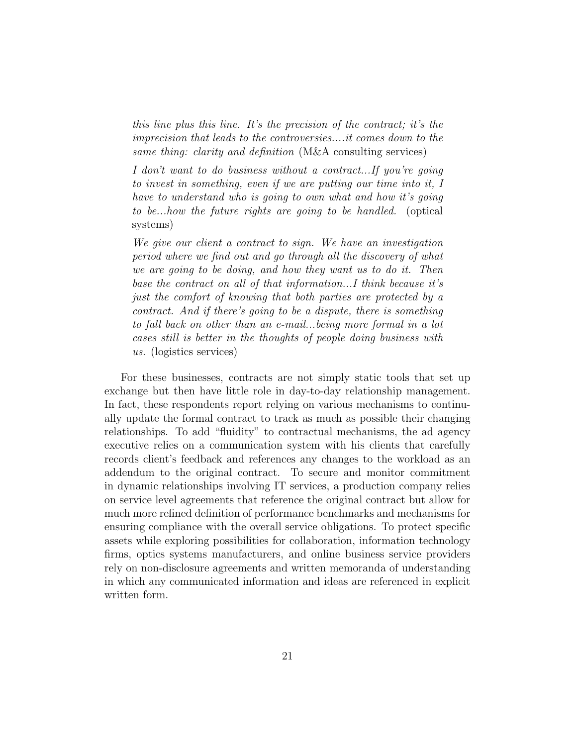*this line plus this line. It's the precision of the contract; it's the imprecision that leads to the controversies....it comes down to the same thing: clarity and definition* (M&A consulting services)

*I don't want to do business without a contract...If you're going to invest in something, even if we are putting our time into it, I have to understand who is going to own what and how it's going to be...how the future rights are going to be handled.* (optical systems)

*We give our client a contract to sign. We have an investigation period where we find out and go through all the discovery of what we are going to be doing, and how they want us to do it. Then base the contract on all of that information...I think because it's just the comfort of knowing that both parties are protected by a contract. And if there's going to be a dispute, there is something to fall back on other than an e-mail...being more formal in a lot cases still is better in the thoughts of people doing business with us.* (logistics services)

For these businesses, contracts are not simply static tools that set up exchange but then have little role in day-to-day relationship management. In fact, these respondents report relying on various mechanisms to continually update the formal contract to track as much as possible their changing relationships. To add "fluidity" to contractual mechanisms, the ad agency executive relies on a communication system with his clients that carefully records client's feedback and references any changes to the workload as an addendum to the original contract. To secure and monitor commitment in dynamic relationships involving IT services, a production company relies on service level agreements that reference the original contract but allow for much more refined definition of performance benchmarks and mechanisms for ensuring compliance with the overall service obligations. To protect specific assets while exploring possibilities for collaboration, information technology firms, optics systems manufacturers, and online business service providers rely on non-disclosure agreements and written memoranda of understanding in which any communicated information and ideas are referenced in explicit written form.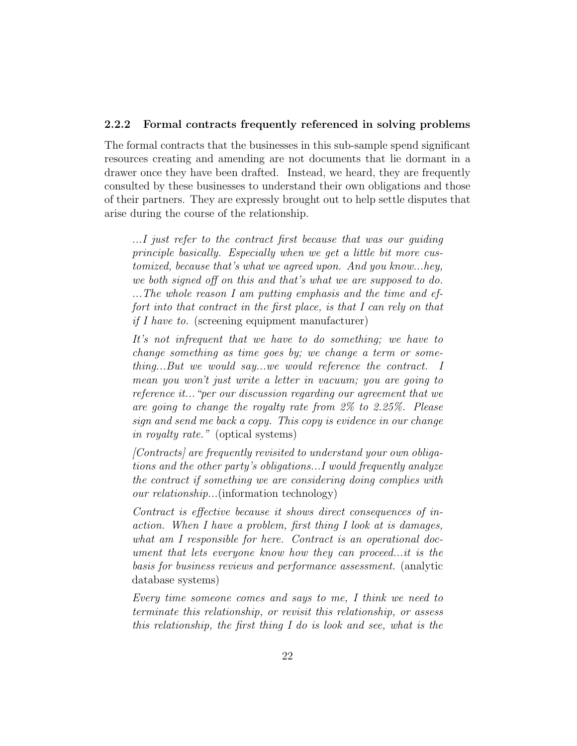#### **2.2.2 Formal contracts frequently referenced in solving problems**

The formal contracts that the businesses in this sub-sample spend significant resources creating and amending are not documents that lie dormant in a drawer once they have been drafted. Instead, we heard, they are frequently consulted by these businesses to understand their own obligations and those of their partners. They are expressly brought out to help settle disputes that arise during the course of the relationship.

*...I just refer to the contract first because that was our guiding principle basically. Especially when we get a little bit more customized, because that's what we agreed upon. And you know...hey, we both signed off on this and that's what we are supposed to do. ...The whole reason I am putting emphasis and the time and effort into that contract in the first place, is that I can rely on that if I have to.* (screening equipment manufacturer)

*It's not infrequent that we have to do something; we have to change something as time goes by; we change a term or something...But we would say...we would reference the contract. I mean you won't just write a letter in vacuum; you are going to reference it..."per our discussion regarding our agreement that we are going to change the royalty rate from 2% to 2.25%. Please sign and send me back a copy. This copy is evidence in our change in royalty rate."* (optical systems)

*[Contracts] are frequently revisited to understand your own obligations and the other party's obligations...I would frequently analyze the contract if something we are considering doing complies with our relationship...*(information technology)

*Contract is effective because it shows direct consequences of inaction. When I have a problem, first thing I look at is damages, what am I responsible for here. Contract is an operational document that lets everyone know how they can proceed...it is the basis for business reviews and performance assessment.* (analytic database systems)

*Every time someone comes and says to me, I think we need to terminate this relationship, or revisit this relationship, or assess this relationship, the first thing I do is look and see, what is the*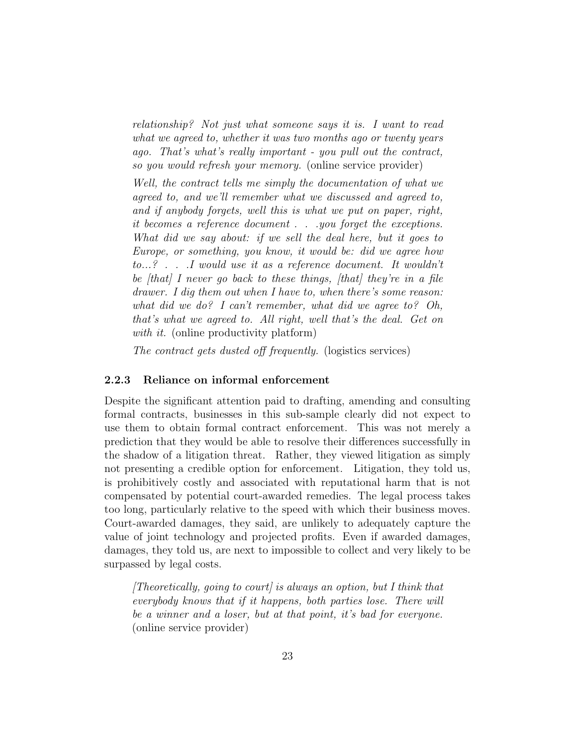*relationship? Not just what someone says it is. I want to read what we agreed to, whether it was two months ago or twenty years ago. That's what's really important - you pull out the contract, so you would refresh your memory.* (online service provider)

*Well, the contract tells me simply the documentation of what we agreed to, and we'll remember what we discussed and agreed to, and if anybody forgets, well this is what we put on paper, right, it becomes a reference document . . .you forget the exceptions. What did we say about: if we sell the deal here, but it goes to Europe, or something, you know, it would be: did we agree how to...? . . .I would use it as a reference document. It wouldn't be [that] I never go back to these things, [that] they're in a file drawer. I dig them out when I have to, when there's some reason: what did we do? I can't remember, what did we agree to? Oh, that's what we agreed to. All right, well that's the deal. Get on with it.* (online productivity platform)

*The contract gets dusted off frequently.* (logistics services)

#### **2.2.3 Reliance on informal enforcement**

Despite the significant attention paid to drafting, amending and consulting formal contracts, businesses in this sub-sample clearly did not expect to use them to obtain formal contract enforcement. This was not merely a prediction that they would be able to resolve their differences successfully in the shadow of a litigation threat. Rather, they viewed litigation as simply not presenting a credible option for enforcement. Litigation, they told us, is prohibitively costly and associated with reputational harm that is not compensated by potential court-awarded remedies. The legal process takes too long, particularly relative to the speed with which their business moves. Court-awarded damages, they said, are unlikely to adequately capture the value of joint technology and projected profits. Even if awarded damages, damages, they told us, are next to impossible to collect and very likely to be surpassed by legal costs.

*[Theoretically, going to court] is always an option, but I think that everybody knows that if it happens, both parties lose. There will be a winner and a loser, but at that point, it's bad for everyone.* (online service provider)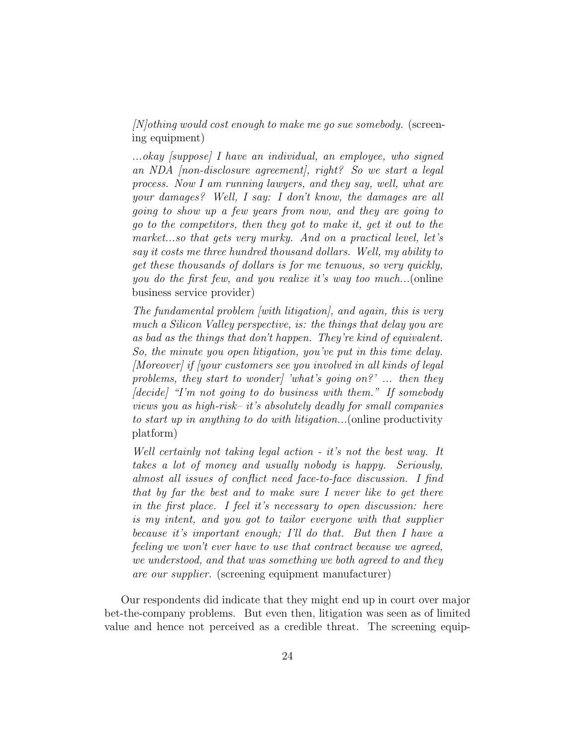*[N]othing would cost enough to make me go sue somebody.* (screening equipment)

*...okay [suppose] I have an individual, an employee, who signed an NDA [non-disclosure agreement], right? So we start a legal process. Now I am running lawyers, and they say, well, what are your damages? Well, I say: I don't know, the damages are all going to show up a few years from now, and they are going to go to the competitors, then they got to make it, get it out to the market...so that gets very murky. And on a practical level, let's say it costs me three hundred thousand dollars. Well, my ability to get these thousands of dollars is for me tenuous, so very quickly, you do the first few, and you realize it's way too much...*(online business service provider)

*The fundamental problem [with litigation], and again, this is very much a Silicon Valley perspective, is: the things that delay you are as bad as the things that don't happen. They're kind of equivalent. So, the minute you open litigation, you've put in this time delay. [Moreover] if [your customers see you involved in all kinds of legal problems, they start to wonder] 'what's going on?' ... then they [decide] "I'm not going to do business with them." If somebody views you as high-risk– it's absolutely deadly for small companies to start up in anything to do with litigation...*(online productivity platform)

*Well certainly not taking legal action - it's not the best way. It takes a lot of money and usually nobody is happy. Seriously, almost all issues of conflict need face-to-face discussion. I find that by far the best and to make sure I never like to get there in the first place. I feel it's necessary to open discussion: here is my intent, and you got to tailor everyone with that supplier because it's important enough; I'll do that. But then I have a feeling we won't ever have to use that contract because we agreed, we understood, and that was something we both agreed to and they are our supplier.* (screening equipment manufacturer)

Our respondents did indicate that they might end up in court over major bet-the-company problems. But even then, litigation was seen as of limited value and hence not perceived as a credible threat. The screening equip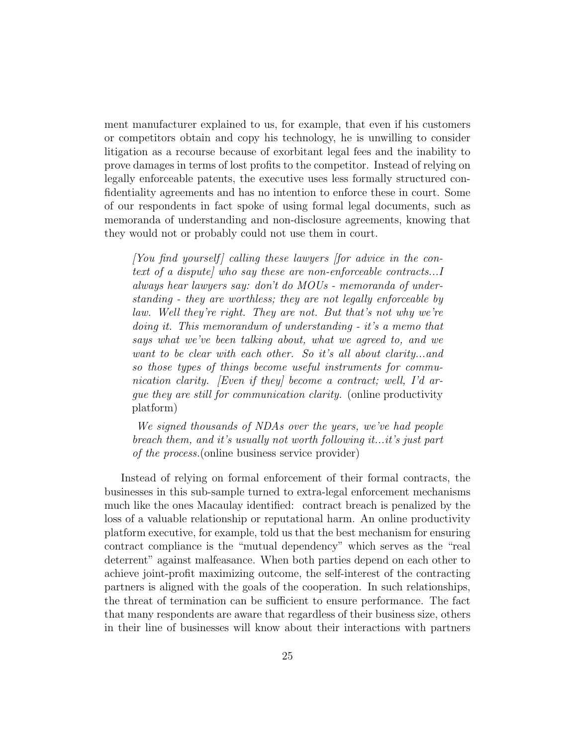ment manufacturer explained to us, for example, that even if his customers or competitors obtain and copy his technology, he is unwilling to consider litigation as a recourse because of exorbitant legal fees and the inability to prove damages in terms of lost profits to the competitor. Instead of relying on legally enforceable patents, the executive uses less formally structured confidentiality agreements and has no intention to enforce these in court. Some of our respondents in fact spoke of using formal legal documents, such as memoranda of understanding and non-disclosure agreements, knowing that they would not or probably could not use them in court.

*[You find yourself] calling these lawyers [for advice in the context of a dispute] who say these are non-enforceable contracts...I always hear lawyers say: don't do MOUs - memoranda of understanding - they are worthless; they are not legally enforceable by law. Well they're right. They are not. But that's not why we're doing it. This memorandum of understanding - it's a memo that says what we've been talking about, what we agreed to, and we want to be clear with each other. So it's all about clarity...and so those types of things become useful instruments for communication clarity. [Even if they] become a contract; well, I'd argue they are still for communication clarity.* (online productivity platform)

*We signed thousands of NDAs over the years, we've had people breach them, and it's usually not worth following it...it's just part of the process.*(online business service provider)

Instead of relying on formal enforcement of their formal contracts, the businesses in this sub-sample turned to extra-legal enforcement mechanisms much like the ones Macaulay identified: contract breach is penalized by the loss of a valuable relationship or reputational harm. An online productivity platform executive, for example, told us that the best mechanism for ensuring contract compliance is the "mutual dependency" which serves as the "real deterrent" against malfeasance. When both parties depend on each other to achieve joint-profit maximizing outcome, the self-interest of the contracting partners is aligned with the goals of the cooperation. In such relationships, the threat of termination can be sufficient to ensure performance. The fact that many respondents are aware that regardless of their business size, others in their line of businesses will know about their interactions with partners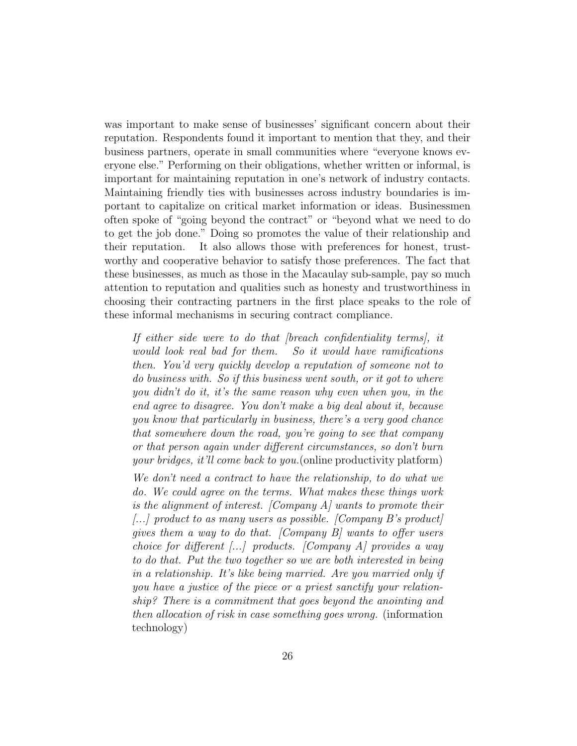was important to make sense of businesses' significant concern about their reputation. Respondents found it important to mention that they, and their business partners, operate in small communities where "everyone knows everyone else." Performing on their obligations, whether written or informal, is important for maintaining reputation in one's network of industry contacts. Maintaining friendly ties with businesses across industry boundaries is important to capitalize on critical market information or ideas. Businessmen often spoke of "going beyond the contract" or "beyond what we need to do to get the job done." Doing so promotes the value of their relationship and their reputation. It also allows those with preferences for honest, trustworthy and cooperative behavior to satisfy those preferences. The fact that these businesses, as much as those in the Macaulay sub-sample, pay so much attention to reputation and qualities such as honesty and trustworthiness in choosing their contracting partners in the first place speaks to the role of these informal mechanisms in securing contract compliance.

*If either side were to do that [breach confidentiality terms], it would look real bad for them. So it would have ramifications then. You'd very quickly develop a reputation of someone not to do business with. So if this business went south, or it got to where you didn't do it, it's the same reason why even when you, in the end agree to disagree. You don't make a big deal about it, because you know that particularly in business, there's a very good chance that somewhere down the road, you're going to see that company or that person again under different circumstances, so don't burn your bridges, it'll come back to you.*(online productivity platform)

*We don't need a contract to have the relationship, to do what we do. We could agree on the terms. What makes these things work is the alignment of interest. [Company A] wants to promote their [...] product to as many users as possible. [Company B's product] gives them a way to do that. [Company B] wants to offer users choice for different [...] products. [Company A] provides a way to do that. Put the two together so we are both interested in being in a relationship. It's like being married. Are you married only if you have a justice of the piece or a priest sanctify your relationship? There is a commitment that goes beyond the anointing and then allocation of risk in case something goes wrong.* (information technology)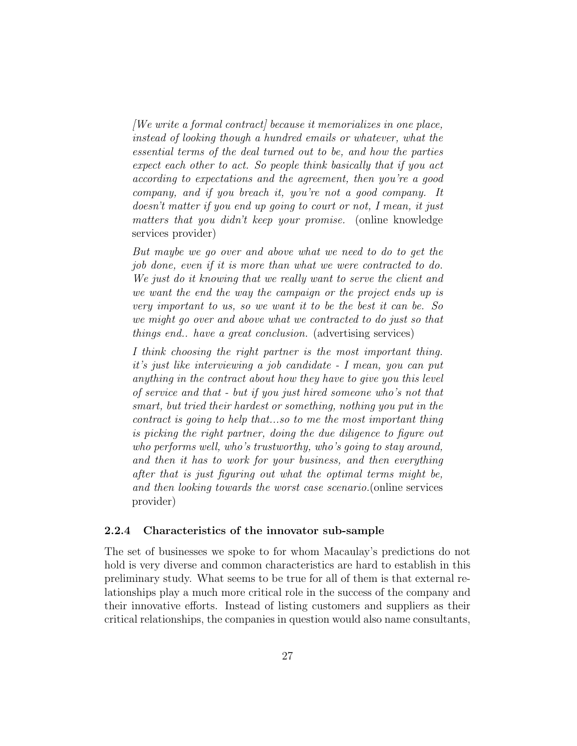*[We write a formal contract] because it memorializes in one place, instead of looking though a hundred emails or whatever, what the essential terms of the deal turned out to be, and how the parties expect each other to act. So people think basically that if you act according to expectations and the agreement, then you're a good company, and if you breach it, you're not a good company. It doesn't matter if you end up going to court or not, I mean, it just matters that you didn't keep your promise.* (online knowledge services provider)

*But maybe we go over and above what we need to do to get the job done, even if it is more than what we were contracted to do. We just do it knowing that we really want to serve the client and we want the end the way the campaign or the project ends up is very important to us, so we want it to be the best it can be. So we might go over and above what we contracted to do just so that things end.. have a great conclusion.* (advertising services)

*I think choosing the right partner is the most important thing. it's just like interviewing a job candidate - I mean, you can put anything in the contract about how they have to give you this level of service and that - but if you just hired someone who's not that smart, but tried their hardest or something, nothing you put in the contract is going to help that...so to me the most important thing is picking the right partner, doing the due diligence to figure out who performs well, who's trustworthy, who's going to stay around, and then it has to work for your business, and then everything after that is just figuring out what the optimal terms might be, and then looking towards the worst case scenario.*(online services provider)

#### **2.2.4 Characteristics of the innovator sub-sample**

The set of businesses we spoke to for whom Macaulay's predictions do not hold is very diverse and common characteristics are hard to establish in this preliminary study. What seems to be true for all of them is that external relationships play a much more critical role in the success of the company and their innovative efforts. Instead of listing customers and suppliers as their critical relationships, the companies in question would also name consultants,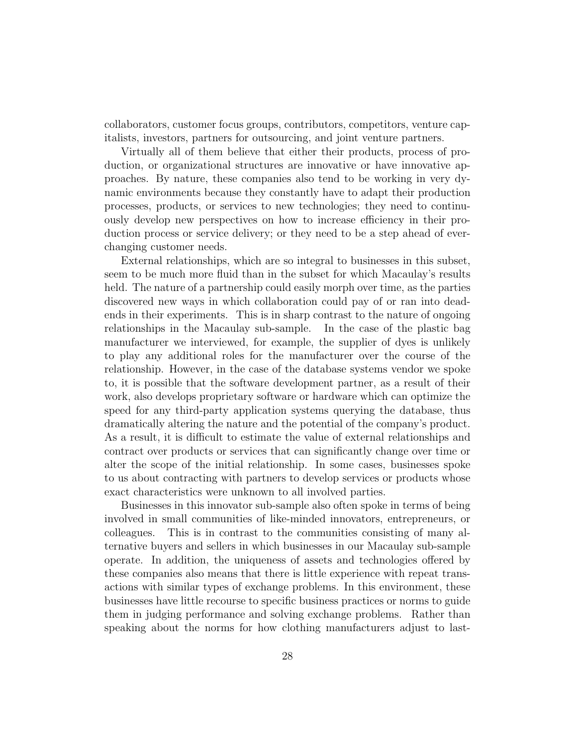collaborators, customer focus groups, contributors, competitors, venture capitalists, investors, partners for outsourcing, and joint venture partners.

Virtually all of them believe that either their products, process of production, or organizational structures are innovative or have innovative approaches. By nature, these companies also tend to be working in very dynamic environments because they constantly have to adapt their production processes, products, or services to new technologies; they need to continuously develop new perspectives on how to increase efficiency in their production process or service delivery; or they need to be a step ahead of everchanging customer needs.

External relationships, which are so integral to businesses in this subset, seem to be much more fluid than in the subset for which Macaulay's results held. The nature of a partnership could easily morph over time, as the parties discovered new ways in which collaboration could pay of or ran into deadends in their experiments. This is in sharp contrast to the nature of ongoing relationships in the Macaulay sub-sample. In the case of the plastic bag manufacturer we interviewed, for example, the supplier of dyes is unlikely to play any additional roles for the manufacturer over the course of the relationship. However, in the case of the database systems vendor we spoke to, it is possible that the software development partner, as a result of their work, also develops proprietary software or hardware which can optimize the speed for any third-party application systems querying the database, thus dramatically altering the nature and the potential of the company's product. As a result, it is difficult to estimate the value of external relationships and contract over products or services that can significantly change over time or alter the scope of the initial relationship. In some cases, businesses spoke to us about contracting with partners to develop services or products whose exact characteristics were unknown to all involved parties.

Businesses in this innovator sub-sample also often spoke in terms of being involved in small communities of like-minded innovators, entrepreneurs, or colleagues. This is in contrast to the communities consisting of many alternative buyers and sellers in which businesses in our Macaulay sub-sample operate. In addition, the uniqueness of assets and technologies offered by these companies also means that there is little experience with repeat transactions with similar types of exchange problems. In this environment, these businesses have little recourse to specific business practices or norms to guide them in judging performance and solving exchange problems. Rather than speaking about the norms for how clothing manufacturers adjust to last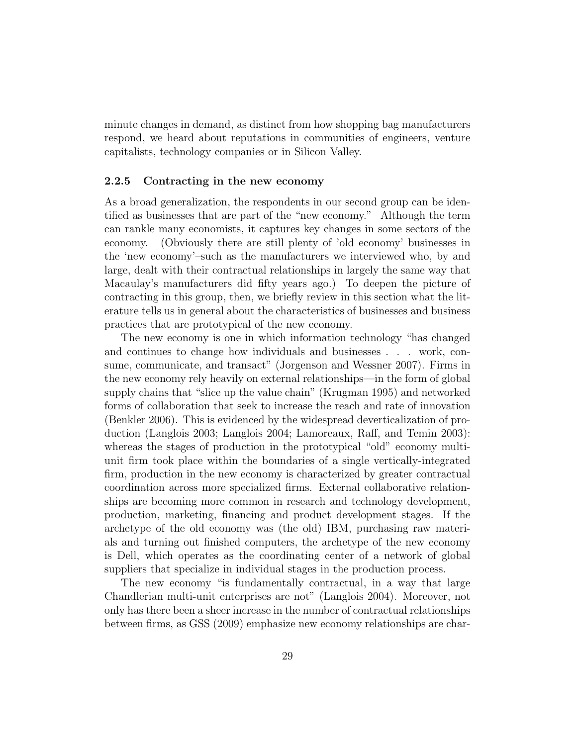minute changes in demand, as distinct from how shopping bag manufacturers respond, we heard about reputations in communities of engineers, venture capitalists, technology companies or in Silicon Valley.

#### **2.2.5 Contracting in the new economy**

As a broad generalization, the respondents in our second group can be identified as businesses that are part of the "new economy." Although the term can rankle many economists, it captures key changes in some sectors of the economy. (Obviously there are still plenty of 'old economy' businesses in the 'new economy'–such as the manufacturers we interviewed who, by and large, dealt with their contractual relationships in largely the same way that Macaulay's manufacturers did fifty years ago.) To deepen the picture of contracting in this group, then, we briefly review in this section what the literature tells us in general about the characteristics of businesses and business practices that are prototypical of the new economy.

The new economy is one in which information technology "has changed and continues to change how individuals and businesses . . . work, consume, communicate, and transact" (Jorgenson and Wessner 2007). Firms in the new economy rely heavily on external relationships—in the form of global supply chains that "slice up the value chain" (Krugman 1995) and networked forms of collaboration that seek to increase the reach and rate of innovation (Benkler 2006). This is evidenced by the widespread deverticalization of production (Langlois 2003; Langlois 2004; Lamoreaux, Raff, and Temin 2003): whereas the stages of production in the prototypical "old" economy multiunit firm took place within the boundaries of a single vertically-integrated firm, production in the new economy is characterized by greater contractual coordination across more specialized firms. External collaborative relationships are becoming more common in research and technology development, production, marketing, financing and product development stages. If the archetype of the old economy was (the old) IBM, purchasing raw materials and turning out finished computers, the archetype of the new economy is Dell, which operates as the coordinating center of a network of global suppliers that specialize in individual stages in the production process.

The new economy "is fundamentally contractual, in a way that large Chandlerian multi-unit enterprises are not" (Langlois 2004). Moreover, not only has there been a sheer increase in the number of contractual relationships between firms, as GSS (2009) emphasize new economy relationships are char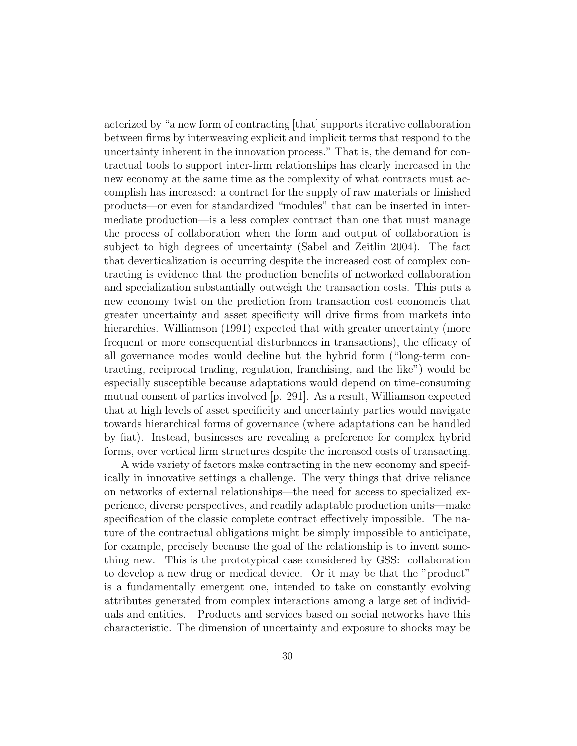acterized by "a new form of contracting [that] supports iterative collaboration between firms by interweaving explicit and implicit terms that respond to the uncertainty inherent in the innovation process." That is, the demand for contractual tools to support inter-firm relationships has clearly increased in the new economy at the same time as the complexity of what contracts must accomplish has increased: a contract for the supply of raw materials or finished products—or even for standardized "modules" that can be inserted in intermediate production—is a less complex contract than one that must manage the process of collaboration when the form and output of collaboration is subject to high degrees of uncertainty (Sabel and Zeitlin 2004). The fact that deverticalization is occurring despite the increased cost of complex contracting is evidence that the production benefits of networked collaboration and specialization substantially outweigh the transaction costs. This puts a new economy twist on the prediction from transaction cost economcis that greater uncertainty and asset specificity will drive firms from markets into hierarchies. Williamson (1991) expected that with greater uncertainty (more frequent or more consequential disturbances in transactions), the efficacy of all governance modes would decline but the hybrid form ("long-term contracting, reciprocal trading, regulation, franchising, and the like") would be especially susceptible because adaptations would depend on time-consuming mutual consent of parties involved [p. 291]. As a result, Williamson expected that at high levels of asset specificity and uncertainty parties would navigate towards hierarchical forms of governance (where adaptations can be handled by fiat). Instead, businesses are revealing a preference for complex hybrid forms, over vertical firm structures despite the increased costs of transacting.

A wide variety of factors make contracting in the new economy and specifically in innovative settings a challenge. The very things that drive reliance on networks of external relationships—the need for access to specialized experience, diverse perspectives, and readily adaptable production units—make specification of the classic complete contract effectively impossible. The nature of the contractual obligations might be simply impossible to anticipate, for example, precisely because the goal of the relationship is to invent something new. This is the prototypical case considered by GSS: collaboration to develop a new drug or medical device. Or it may be that the "product" is a fundamentally emergent one, intended to take on constantly evolving attributes generated from complex interactions among a large set of individuals and entities. Products and services based on social networks have this characteristic. The dimension of uncertainty and exposure to shocks may be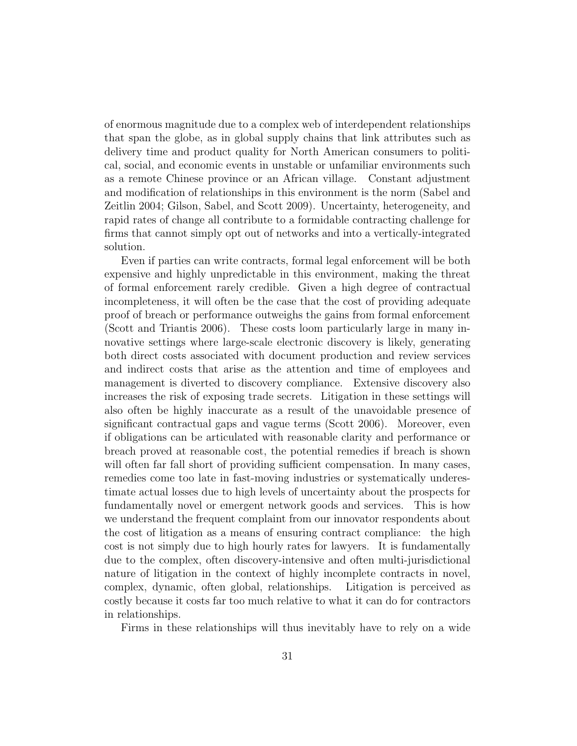of enormous magnitude due to a complex web of interdependent relationships that span the globe, as in global supply chains that link attributes such as delivery time and product quality for North American consumers to political, social, and economic events in unstable or unfamiliar environments such as a remote Chinese province or an African village. Constant adjustment and modification of relationships in this environment is the norm (Sabel and Zeitlin 2004; Gilson, Sabel, and Scott 2009). Uncertainty, heterogeneity, and rapid rates of change all contribute to a formidable contracting challenge for firms that cannot simply opt out of networks and into a vertically-integrated solution.

Even if parties can write contracts, formal legal enforcement will be both expensive and highly unpredictable in this environment, making the threat of formal enforcement rarely credible. Given a high degree of contractual incompleteness, it will often be the case that the cost of providing adequate proof of breach or performance outweighs the gains from formal enforcement (Scott and Triantis 2006). These costs loom particularly large in many innovative settings where large-scale electronic discovery is likely, generating both direct costs associated with document production and review services and indirect costs that arise as the attention and time of employees and management is diverted to discovery compliance. Extensive discovery also increases the risk of exposing trade secrets. Litigation in these settings will also often be highly inaccurate as a result of the unavoidable presence of significant contractual gaps and vague terms (Scott 2006). Moreover, even if obligations can be articulated with reasonable clarity and performance or breach proved at reasonable cost, the potential remedies if breach is shown will often far fall short of providing sufficient compensation. In many cases, remedies come too late in fast-moving industries or systematically underestimate actual losses due to high levels of uncertainty about the prospects for fundamentally novel or emergent network goods and services. This is how we understand the frequent complaint from our innovator respondents about the cost of litigation as a means of ensuring contract compliance: the high cost is not simply due to high hourly rates for lawyers. It is fundamentally due to the complex, often discovery-intensive and often multi-jurisdictional nature of litigation in the context of highly incomplete contracts in novel, complex, dynamic, often global, relationships. Litigation is perceived as costly because it costs far too much relative to what it can do for contractors in relationships.

Firms in these relationships will thus inevitably have to rely on a wide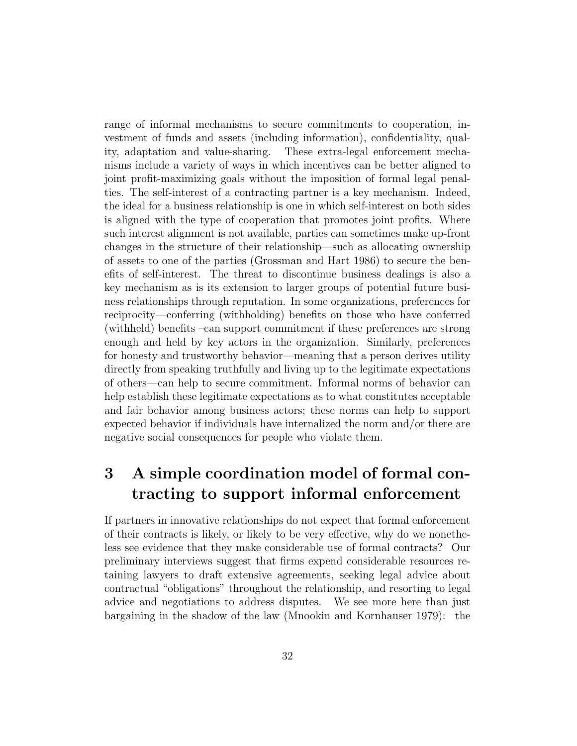range of informal mechanisms to secure commitments to cooperation, investment of funds and assets (including information), confidentiality, quality, adaptation and value-sharing. These extra-legal enforcement mechanisms include a variety of ways in which incentives can be better aligned to joint profit-maximizing goals without the imposition of formal legal penalties. The self-interest of a contracting partner is a key mechanism. Indeed, the ideal for a business relationship is one in which self-interest on both sides is aligned with the type of cooperation that promotes joint profits. Where such interest alignment is not available, parties can sometimes make up-front changes in the structure of their relationship—such as allocating ownership of assets to one of the parties (Grossman and Hart 1986) to secure the benefits of self-interest. The threat to discontinue business dealings is also a key mechanism as is its extension to larger groups of potential future business relationships through reputation. In some organizations, preferences for reciprocity—conferring (withholding) benefits on those who have conferred (withheld) benefits –can support commitment if these preferences are strong enough and held by key actors in the organization. Similarly, preferences for honesty and trustworthy behavior—meaning that a person derives utility directly from speaking truthfully and living up to the legitimate expectations of others—can help to secure commitment. Informal norms of behavior can help establish these legitimate expectations as to what constitutes acceptable and fair behavior among business actors; these norms can help to support expected behavior if individuals have internalized the norm and/or there are negative social consequences for people who violate them.

# **3 A simple coordination model of formal contracting to support informal enforcement**

If partners in innovative relationships do not expect that formal enforcement of their contracts is likely, or likely to be very effective, why do we nonetheless see evidence that they make considerable use of formal contracts? Our preliminary interviews suggest that firms expend considerable resources retaining lawyers to draft extensive agreements, seeking legal advice about contractual "obligations" throughout the relationship, and resorting to legal advice and negotiations to address disputes. We see more here than just bargaining in the shadow of the law (Mnookin and Kornhauser 1979): the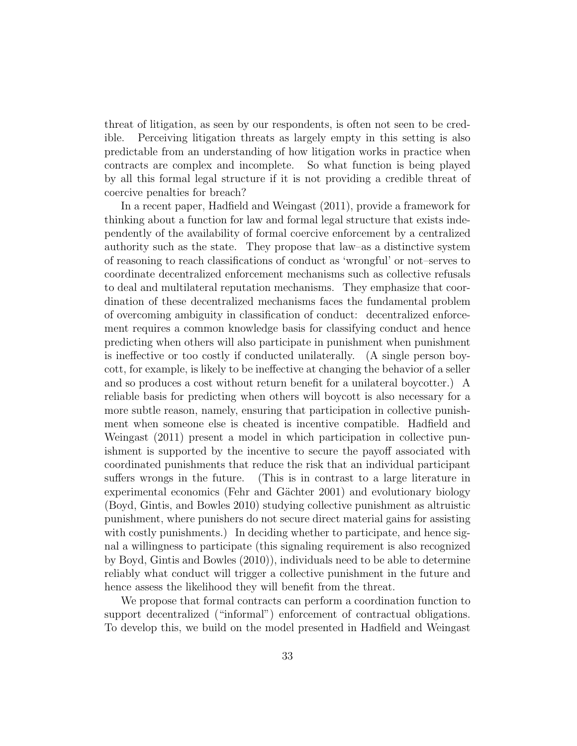threat of litigation, as seen by our respondents, is often not seen to be credible. Perceiving litigation threats as largely empty in this setting is also predictable from an understanding of how litigation works in practice when contracts are complex and incomplete. So what function is being played by all this formal legal structure if it is not providing a credible threat of coercive penalties for breach?

In a recent paper, Hadfield and Weingast (2011), provide a framework for thinking about a function for law and formal legal structure that exists independently of the availability of formal coercive enforcement by a centralized authority such as the state. They propose that law–as a distinctive system of reasoning to reach classifications of conduct as 'wrongful' or not–serves to coordinate decentralized enforcement mechanisms such as collective refusals to deal and multilateral reputation mechanisms. They emphasize that coordination of these decentralized mechanisms faces the fundamental problem of overcoming ambiguity in classification of conduct: decentralized enforcement requires a common knowledge basis for classifying conduct and hence predicting when others will also participate in punishment when punishment is ineffective or too costly if conducted unilaterally. (A single person boycott, for example, is likely to be ineffective at changing the behavior of a seller and so produces a cost without return benefit for a unilateral boycotter.) A reliable basis for predicting when others will boycott is also necessary for a more subtle reason, namely, ensuring that participation in collective punishment when someone else is cheated is incentive compatible. Hadfield and Weingast (2011) present a model in which participation in collective punishment is supported by the incentive to secure the payoff associated with coordinated punishments that reduce the risk that an individual participant suffers wrongs in the future. (This is in contrast to a large literature in experimental economics (Fehr and Gächter 2001) and evolutionary biology (Boyd, Gintis, and Bowles 2010) studying collective punishment as altruistic punishment, where punishers do not secure direct material gains for assisting with costly punishments.) In deciding whether to participate, and hence signal a willingness to participate (this signaling requirement is also recognized by Boyd, Gintis and Bowles (2010)), individuals need to be able to determine reliably what conduct will trigger a collective punishment in the future and hence assess the likelihood they will benefit from the threat.

We propose that formal contracts can perform a coordination function to support decentralized ("informal") enforcement of contractual obligations. To develop this, we build on the model presented in Hadfield and Weingast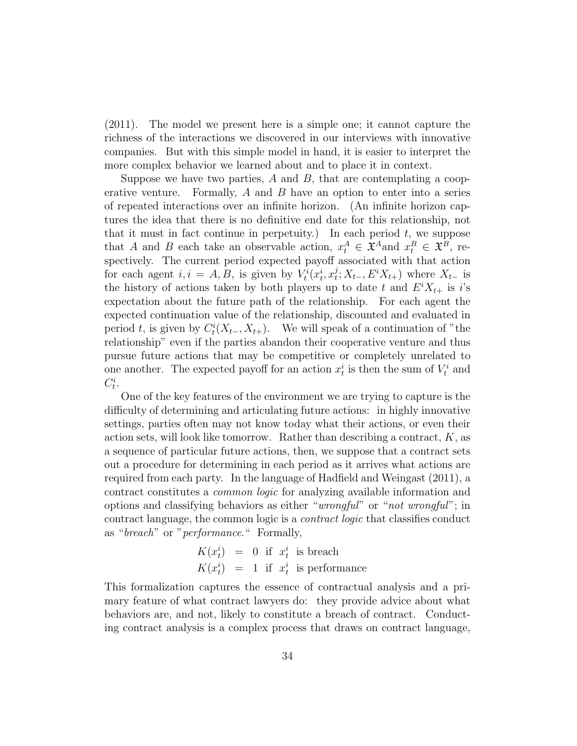(2011). The model we present here is a simple one; it cannot capture the richness of the interactions we discovered in our interviews with innovative companies. But with this simple model in hand, it is easier to interpret the more complex behavior we learned about and to place it in context.

Suppose we have two parties, *A* and *B*, that are contemplating a cooperative venture. Formally, *A* and *B* have an option to enter into a series of repeated interactions over an infinite horizon. (An infinite horizon captures the idea that there is no definitive end date for this relationship, not that it must in fact continue in perpetuity.) In each period *t*, we suppose that *A* and *B* each take an observable action,  $x_t^A \in \mathfrak{X}^A$  and  $x_t^B \in \mathfrak{X}^B$ , respectively. The current period expected payoff associated with that action for each agent  $i, i = A, B$ , is given by  $V_t^i(x_t^i, x_t^j)$  $\sum_{t}^{j}$ ;  $X_{t-}$ ,  $E^{i}X_{t+}$ ) where  $X_{t-}$  is the history of actions taken by both players up to date *t* and  $E^{i}X_{t+}$  is *i*'s expectation about the future path of the relationship. For each agent the expected continuation value of the relationship, discounted and evaluated in period *t*, is given by  $C_t^i(X_{t-}, X_{t+})$ . We will speak of a continuation of "the relationship" even if the parties abandon their cooperative venture and thus pursue future actions that may be competitive or completely unrelated to one another. The expected payoff for an action  $x_t^i$  is then the sum of  $V_t^i$  and  $C_t^i$ .

One of the key features of the environment we are trying to capture is the difficulty of determining and articulating future actions: in highly innovative settings, parties often may not know today what their actions, or even their action sets, will look like tomorrow. Rather than describing a contract, *K*, as a sequence of particular future actions, then, we suppose that a contract sets out a procedure for determining in each period as it arrives what actions are required from each party. In the language of Hadfield and Weingast (2011), a contract constitutes a *common logic* for analyzing available information and options and classifying behaviors as either "*wrongful*" or "*not wrongful*"; in contract language, the common logic is a *contract logic* that classifies conduct as "*breach*" or "*performance*." Formally,

$$
K(x_t^i) = 0 \tif\t x_t^i \tis \tbreak \text{beach}
$$
  

$$
K(x_t^i) = 1 \tif\t x_t^i \tis \t\text{performance}
$$

This formalization captures the essence of contractual analysis and a primary feature of what contract lawyers do: they provide advice about what behaviors are, and not, likely to constitute a breach of contract. Conducting contract analysis is a complex process that draws on contract language,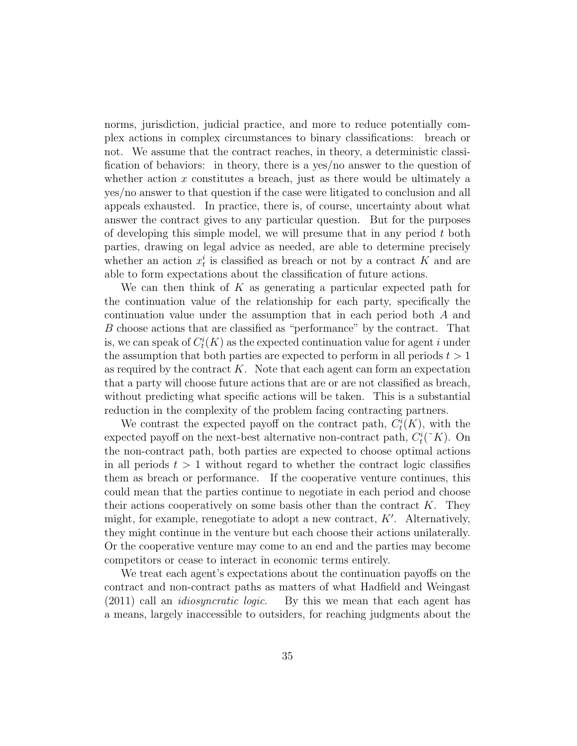norms, jurisdiction, judicial practice, and more to reduce potentially complex actions in complex circumstances to binary classifications: breach or not. We assume that the contract reaches, in theory, a deterministic classification of behaviors: in theory, there is a yes/no answer to the question of whether action x constitutes a breach, just as there would be ultimately a yes/no answer to that question if the case were litigated to conclusion and all appeals exhausted. In practice, there is, of course, uncertainty about what answer the contract gives to any particular question. But for the purposes of developing this simple model, we will presume that in any period *t* both parties, drawing on legal advice as needed, are able to determine precisely whether an action  $x_t^i$  is classified as breach or not by a contract *K* and are able to form expectations about the classification of future actions.

We can then think of *K* as generating a particular expected path for the continuation value of the relationship for each party, specifically the continuation value under the assumption that in each period both *A* and *B* choose actions that are classified as "performance" by the contract. That is, we can speak of  $C_t^i(K)$  as the expected continuation value for agent *i* under the assumption that both parties are expected to perform in all periods *t >* 1 as required by the contract *K*. Note that each agent can form an expectation that a party will choose future actions that are or are not classified as breach, without predicting what specific actions will be taken. This is a substantial reduction in the complexity of the problem facing contracting partners.

We contrast the expected payoff on the contract path,  $C_t^i(K)$ , with the expected payoff on the next-best alternative non-contract path,  $C_t^i({\tilde{\ } K})$ . On the non-contract path, both parties are expected to choose optimal actions in all periods  $t > 1$  without regard to whether the contract logic classifies them as breach or performance. If the cooperative venture continues, this could mean that the parties continue to negotiate in each period and choose their actions cooperatively on some basis other than the contract *K*. They might, for example, renegotiate to adopt a new contract, *K′* . Alternatively, they might continue in the venture but each choose their actions unilaterally. Or the cooperative venture may come to an end and the parties may become competitors or cease to interact in economic terms entirely.

We treat each agent's expectations about the continuation payoffs on the contract and non-contract paths as matters of what Hadfield and Weingast (2011) call an *idiosyncratic logic*. By this we mean that each agent has a means, largely inaccessible to outsiders, for reaching judgments about the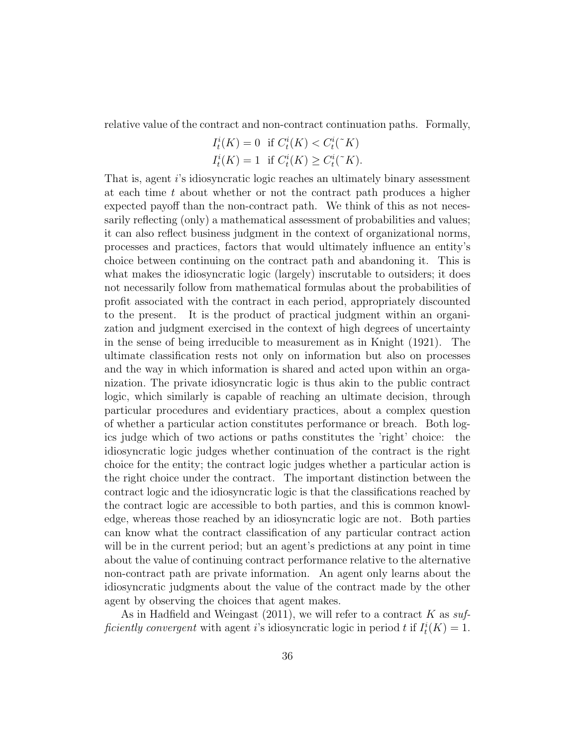relative value of the contract and non-contract continuation paths. Formally,

$$
I_t^i(K) = 0 \quad \text{if } C_t^i(K) < C_t^i({\tilde{\kappa}}) I_t^i(K) = 1 \quad \text{if } C_t^i(K) \ge C_t^i({\tilde{\kappa}}) .
$$

That is, agent *i*'s idiosyncratic logic reaches an ultimately binary assessment at each time *t* about whether or not the contract path produces a higher expected payoff than the non-contract path. We think of this as not necessarily reflecting (only) a mathematical assessment of probabilities and values; it can also reflect business judgment in the context of organizational norms, processes and practices, factors that would ultimately influence an entity's choice between continuing on the contract path and abandoning it. This is what makes the idiosyncratic logic (largely) inscrutable to outsiders; it does not necessarily follow from mathematical formulas about the probabilities of profit associated with the contract in each period, appropriately discounted to the present. It is the product of practical judgment within an organization and judgment exercised in the context of high degrees of uncertainty in the sense of being irreducible to measurement as in Knight (1921). The ultimate classification rests not only on information but also on processes and the way in which information is shared and acted upon within an organization. The private idiosyncratic logic is thus akin to the public contract logic, which similarly is capable of reaching an ultimate decision, through particular procedures and evidentiary practices, about a complex question of whether a particular action constitutes performance or breach. Both logics judge which of two actions or paths constitutes the 'right' choice: the idiosyncratic logic judges whether continuation of the contract is the right choice for the entity; the contract logic judges whether a particular action is the right choice under the contract. The important distinction between the contract logic and the idiosyncratic logic is that the classifications reached by the contract logic are accessible to both parties, and this is common knowledge, whereas those reached by an idiosyncratic logic are not. Both parties can know what the contract classification of any particular contract action will be in the current period; but an agent's predictions at any point in time about the value of continuing contract performance relative to the alternative non-contract path are private information. An agent only learns about the idiosyncratic judgments about the value of the contract made by the other agent by observing the choices that agent makes.

As in Hadfield and Weingast (2011), we will refer to a contract *K* as *sufficiently convergent* with agent *i*'s idiosyncratic logic in period *t* if  $I_t^i(K) = 1$ .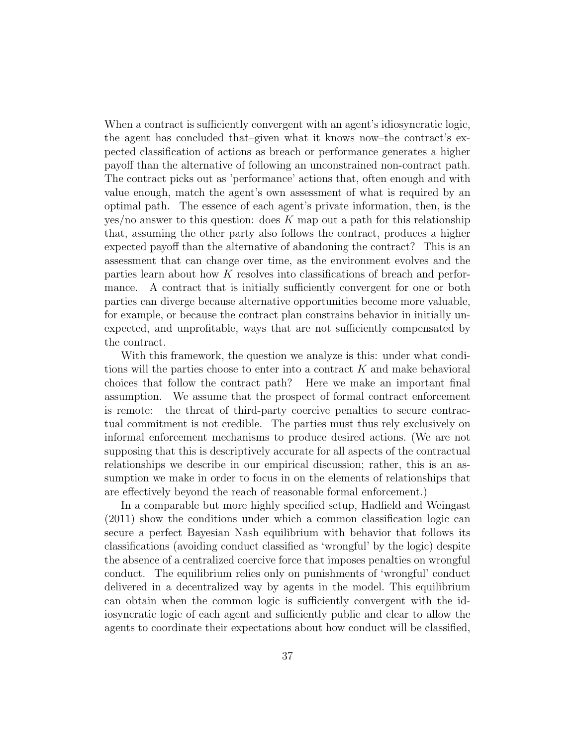When a contract is sufficiently convergent with an agent's idiosyncratic logic, the agent has concluded that–given what it knows now–the contract's expected classification of actions as breach or performance generates a higher payoff than the alternative of following an unconstrained non-contract path. The contract picks out as 'performance' actions that, often enough and with value enough, match the agent's own assessment of what is required by an optimal path. The essence of each agent's private information, then, is the yes/no answer to this question: does *K* map out a path for this relationship that, assuming the other party also follows the contract, produces a higher expected payoff than the alternative of abandoning the contract? This is an assessment that can change over time, as the environment evolves and the parties learn about how *K* resolves into classifications of breach and performance. A contract that is initially sufficiently convergent for one or both parties can diverge because alternative opportunities become more valuable, for example, or because the contract plan constrains behavior in initially unexpected, and unprofitable, ways that are not sufficiently compensated by the contract.

With this framework, the question we analyze is this: under what conditions will the parties choose to enter into a contract *K* and make behavioral choices that follow the contract path? Here we make an important final assumption. We assume that the prospect of formal contract enforcement is remote: the threat of third-party coercive penalties to secure contractual commitment is not credible. The parties must thus rely exclusively on informal enforcement mechanisms to produce desired actions. (We are not supposing that this is descriptively accurate for all aspects of the contractual relationships we describe in our empirical discussion; rather, this is an assumption we make in order to focus in on the elements of relationships that are effectively beyond the reach of reasonable formal enforcement.)

In a comparable but more highly specified setup, Hadfield and Weingast (2011) show the conditions under which a common classification logic can secure a perfect Bayesian Nash equilibrium with behavior that follows its classifications (avoiding conduct classified as 'wrongful' by the logic) despite the absence of a centralized coercive force that imposes penalties on wrongful conduct. The equilibrium relies only on punishments of 'wrongful' conduct delivered in a decentralized way by agents in the model. This equilibrium can obtain when the common logic is sufficiently convergent with the idiosyncratic logic of each agent and sufficiently public and clear to allow the agents to coordinate their expectations about how conduct will be classified,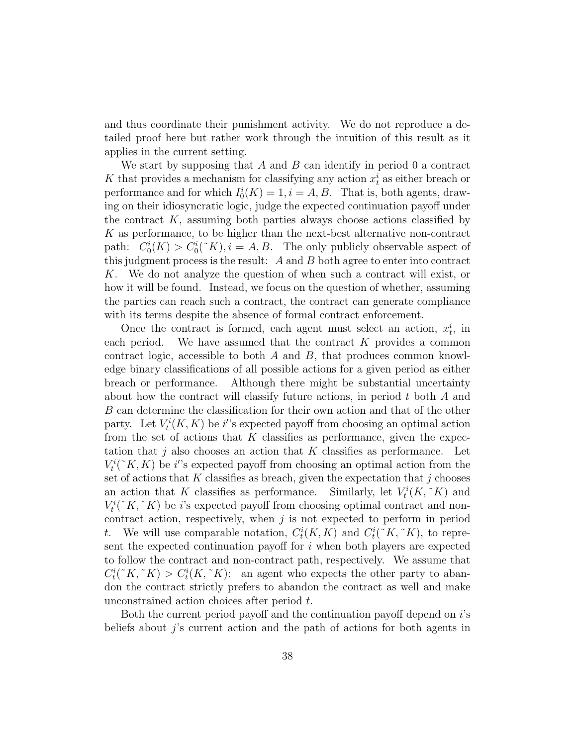and thus coordinate their punishment activity. We do not reproduce a detailed proof here but rather work through the intuition of this result as it applies in the current setting.

We start by supposing that *A* and *B* can identify in period 0 a contract K that provides a mechanism for classifying any action  $x_t^i$  as either breach or performance and for which  $I_0^i(K) = 1, i = A, B$ . That is, both agents, drawing on their idiosyncratic logic, judge the expected continuation payoff under the contract *K*, assuming both parties always choose actions classified by *K* as performance, to be higher than the next-best alternative non-contract path:  $C_0^i(K) > C_0^i({\tilde{\kappa}}), i = A, B$ . The only publicly observable aspect of this judgment process is the result: *A* and *B* both agree to enter into contract *K*. We do not analyze the question of when such a contract will exist, or how it will be found. Instead, we focus on the question of whether, assuming the parties can reach such a contract, the contract can generate compliance with its terms despite the absence of formal contract enforcement.

Once the contract is formed, each agent must select an action,  $x_t^i$ , in each period. We have assumed that the contract *K* provides a common contract logic, accessible to both *A* and *B*, that produces common knowledge binary classifications of all possible actions for a given period as either breach or performance. Although there might be substantial uncertainty about how the contract will classify future actions, in period *t* both *A* and *B* can determine the classification for their own action and that of the other party. Let  $V_t^i(K, K)$  be *i*'s expected payoff from choosing an optimal action from the set of actions that *K* classifies as performance, given the expectation that *j* also chooses an action that *K* classifies as performance. Let  $V_t^i({\tilde{\mathcal{K}}}, K)$  be *i*'s expected payoff from choosing an optimal action from the set of actions that *K* classifies as breach, given the expectation that *j* chooses an action that *K* classifies as performance. Similarly, let  $V_t^i(K, K)$  and  $V_t^i({\tilde{K}}, {\tilde{K}})$  be *i*'s expected payoff from choosing optimal contract and noncontract action, respectively, when *j* is not expected to perform in period *t*. We will use comparable notation,  $C_t^i(K, K)$  and  $C_t^i({\tilde{K}, \tilde{K}})$ , to represent the expected continuation payoff for *i* when both players are expected to follow the contract and non-contract path, respectively. We assume that  $C_t^i({\tilde K}, {\tilde K}) > C_t^i(K, {\tilde K})$ : an agent who expects the other party to abandon the contract strictly prefers to abandon the contract as well and make unconstrained action choices after period *t*.

Both the current period payoff and the continuation payoff depend on *i*'s beliefs about *j*'s current action and the path of actions for both agents in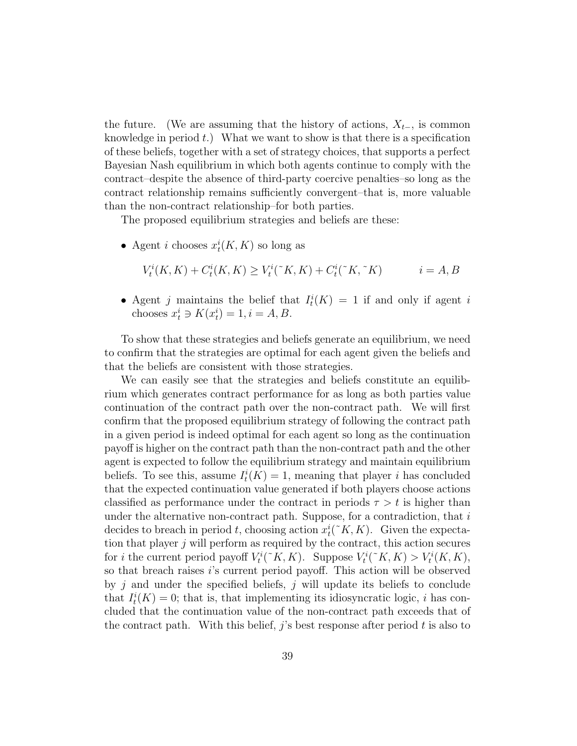the future. (We are assuming that the history of actions,  $X_{t-}$ , is common knowledge in period *t*.) What we want to show is that there is a specification of these beliefs, together with a set of strategy choices, that supports a perfect Bayesian Nash equilibrium in which both agents continue to comply with the contract–despite the absence of third-party coercive penalties–so long as the contract relationship remains sufficiently convergent–that is, more valuable than the non-contract relationship–for both parties.

The proposed equilibrium strategies and beliefs are these:

• Agent *i* chooses  $x_t^i(K, K)$  so long as

$$
V_t^i(K, K) + C_t^i(K, K) \ge V_t^i({\tilde{\ } K}, K) + C_t^i({\tilde{\ } K}, {\tilde{\ } K}) \qquad i = A, B
$$

• Agent *j* maintains the belief that  $I_t^i(K) = 1$  if and only if agent *i* chooses  $x_i^i \ni K(x_i^i) = 1, i = A, B$ .

To show that these strategies and beliefs generate an equilibrium, we need to confirm that the strategies are optimal for each agent given the beliefs and that the beliefs are consistent with those strategies.

We can easily see that the strategies and beliefs constitute an equilibrium which generates contract performance for as long as both parties value continuation of the contract path over the non-contract path. We will first confirm that the proposed equilibrium strategy of following the contract path in a given period is indeed optimal for each agent so long as the continuation payoff is higher on the contract path than the non-contract path and the other agent is expected to follow the equilibrium strategy and maintain equilibrium beliefs. To see this, assume  $I_t^i(K) = 1$ , meaning that player *i* has concluded that the expected continuation value generated if both players choose actions classified as performance under the contract in periods  $\tau > t$  is higher than under the alternative non-contract path. Suppose, for a contradiction, that *i* decides to breach in period *t*, choosing action  $x_t^i({\tilde{\zeta}} K, K)$ . Given the expectation that player *j* will perform as required by the contract, this action secures for *i* the current period payoff  $V_t^i({\tilde{\kappa}}, K)$ . Suppose  $V_t^i({\tilde{\kappa}}, K) > V_t^i(K, K)$ , so that breach raises *i*'s current period payoff. This action will be observed by *j* and under the specified beliefs, *j* will update its beliefs to conclude that  $I_t^i(K) = 0$ ; that is, that implementing its idiosyncratic logic, *i* has concluded that the continuation value of the non-contract path exceeds that of the contract path. With this belief, *j*'s best response after period *t* is also to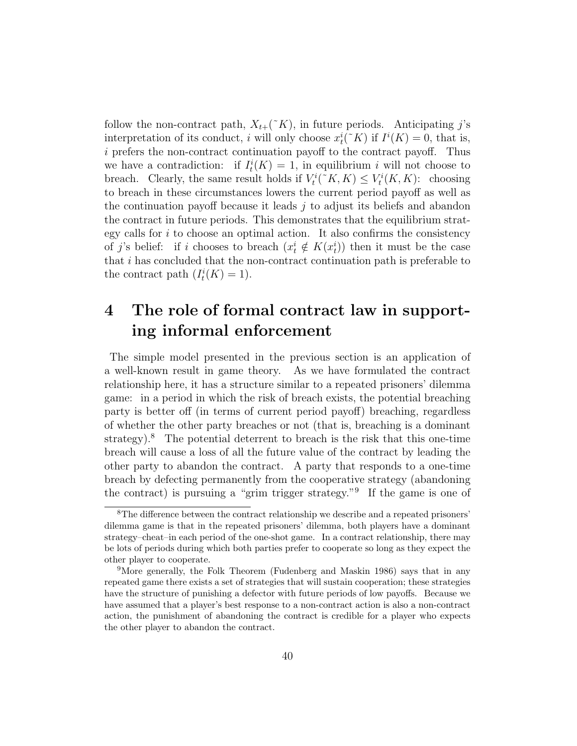follow the non-contract path,  $X_{t+}(\tilde{K})$ , in future periods. Anticipating *j*'s interpretation of its conduct, *i* will only choose  $x_i^i({\tilde{\ } K})$  if  $I^i(K) = 0$ , that is, *i* prefers the non-contract continuation payoff to the contract payoff. Thus we have a contradiction: if  $I_t^i(K) = 1$ , in equilibrium *i* will not choose to breach. Clearly, the same result holds if  $V_t^i({\tilde{\kappa}}, K) \leq V_t^i(K, K)$ : choosing to breach in these circumstances lowers the current period payoff as well as the continuation payoff because it leads *j* to adjust its beliefs and abandon the contract in future periods. This demonstrates that the equilibrium strategy calls for *i* to choose an optimal action. It also confirms the consistency of *j*'s belief: if *i* chooses to breach  $(x_i^i \notin K(x_i^i))$  then it must be the case that *i* has concluded that the non-contract continuation path is preferable to the contract path  $(I_t^i(K) = 1)$ .

# **4 The role of formal contract law in supporting informal enforcement**

The simple model presented in the previous section is an application of a well-known result in game theory. As we have formulated the contract relationship here, it has a structure similar to a repeated prisoners' dilemma game: in a period in which the risk of breach exists, the potential breaching party is better off (in terms of current period payoff) breaching, regardless of whether the other party breaches or not (that is, breaching is a dominant strategy).<sup>8</sup> The potential deterrent to breach is the risk that this one-time breach will cause a loss of all the future value of the contract by leading the other party to abandon the contract. A party that responds to a one-time breach by defecting permanently from the cooperative strategy (abandoning the contract) is pursuing a "grim trigger strategy."<sup>9</sup> If the game is one of

<sup>8</sup>The difference between the contract relationship we describe and a repeated prisoners' dilemma game is that in the repeated prisoners' dilemma, both players have a dominant strategy–cheat–in each period of the one-shot game. In a contract relationship, there may be lots of periods during which both parties prefer to cooperate so long as they expect the other player to cooperate.

<sup>9</sup>More generally, the Folk Theorem (Fudenberg and Maskin 1986) says that in any repeated game there exists a set of strategies that will sustain cooperation; these strategies have the structure of punishing a defector with future periods of low payoffs. Because we have assumed that a player's best response to a non-contract action is also a non-contract action, the punishment of abandoning the contract is credible for a player who expects the other player to abandon the contract.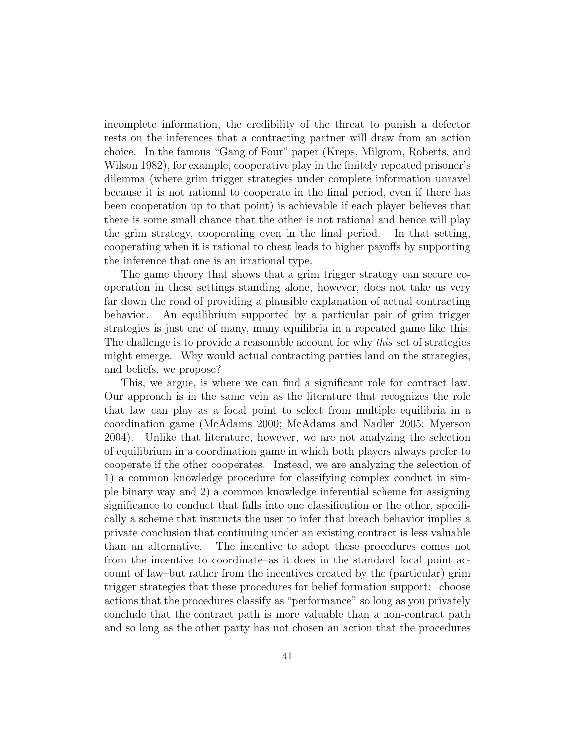incomplete information, the credibility of the threat to punish a defector rests on the inferences that a contracting partner will draw from an action choice. In the famous "Gang of Four" paper (Kreps, Milgrom, Roberts, and Wilson 1982), for example, cooperative play in the finitely repeated prisoner's dilemma (where grim trigger strategies under complete information unravel because it is not rational to cooperate in the final period, even if there has been cooperation up to that point) is achievable if each player believes that there is some small chance that the other is not rational and hence will play the grim strategy, cooperating even in the final period. In that setting, cooperating when it is rational to cheat leads to higher payoffs by supporting the inference that one is an irrational type.

The game theory that shows that a grim trigger strategy can secure cooperation in these settings standing alone, however, does not take us very far down the road of providing a plausible explanation of actual contracting behavior. An equilibrium supported by a particular pair of grim trigger strategies is just one of many, many equilibria in a repeated game like this. The challenge is to provide a reasonable account for why *this* set of strategies might emerge. Why would actual contracting parties land on the strategies, and beliefs, we propose?

This, we argue, is where we can find a significant role for contract law. Our approach is in the same vein as the literature that recognizes the role that law can play as a focal point to select from multiple equilibria in a coordination game (McAdams 2000; McAdams and Nadler 2005; Myerson 2004). Unlike that literature, however, we are not analyzing the selection of equilibrium in a coordination game in which both players always prefer to cooperate if the other cooperates. Instead, we are analyzing the selection of 1) a common knowledge procedure for classifying complex conduct in simple binary way and 2) a common knowledge inferential scheme for assigning significance to conduct that falls into one classification or the other, specifically a scheme that instructs the user to infer that breach behavior implies a private conclusion that continuing under an existing contract is less valuable than an alternative. The incentive to adopt these procedures comes not from the incentive to coordinate–as it does in the standard focal point account of law–but rather from the incentives created by the (particular) grim trigger strategies that these procedures for belief formation support: choose actions that the procedures classify as "performance" so long as you privately conclude that the contract path is more valuable than a non-contract path and so long as the other party has not chosen an action that the procedures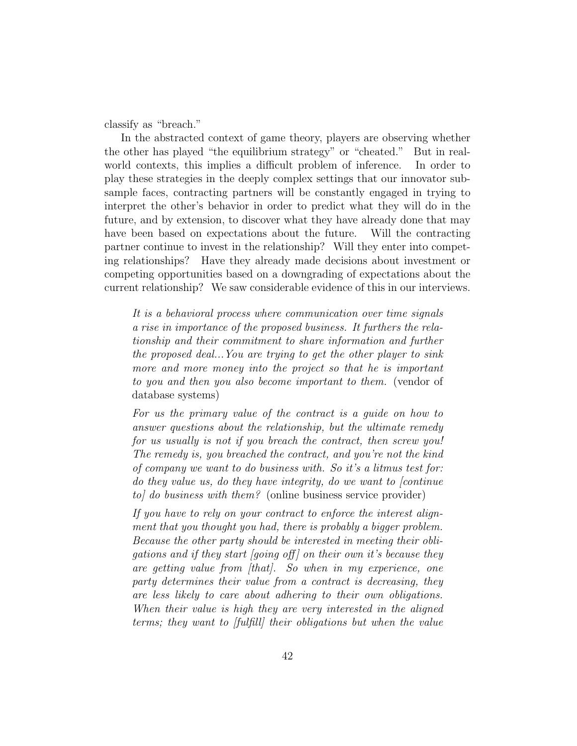classify as "breach."

In the abstracted context of game theory, players are observing whether the other has played "the equilibrium strategy" or "cheated." But in realworld contexts, this implies a difficult problem of inference. In order to play these strategies in the deeply complex settings that our innovator subsample faces, contracting partners will be constantly engaged in trying to interpret the other's behavior in order to predict what they will do in the future, and by extension, to discover what they have already done that may have been based on expectations about the future. Will the contracting partner continue to invest in the relationship? Will they enter into competing relationships? Have they already made decisions about investment or competing opportunities based on a downgrading of expectations about the current relationship? We saw considerable evidence of this in our interviews.

*It is a behavioral process where communication over time signals a rise in importance of the proposed business. It furthers the relationship and their commitment to share information and further the proposed deal...You are trying to get the other player to sink more and more money into the project so that he is important to you and then you also become important to them.* (vendor of database systems)

*For us the primary value of the contract is a guide on how to answer questions about the relationship, but the ultimate remedy for us usually is not if you breach the contract, then screw you! The remedy is, you breached the contract, and you're not the kind of company we want to do business with. So it's a litmus test for: do they value us, do they have integrity, do we want to [continue to] do business with them?* (online business service provider)

*If you have to rely on your contract to enforce the interest alignment that you thought you had, there is probably a bigger problem. Because the other party should be interested in meeting their obligations and if they start [going off ] on their own it's because they are getting value from [that]. So when in my experience, one party determines their value from a contract is decreasing, they are less likely to care about adhering to their own obligations. When their value is high they are very interested in the aligned terms; they want to [fulfill] their obligations but when the value*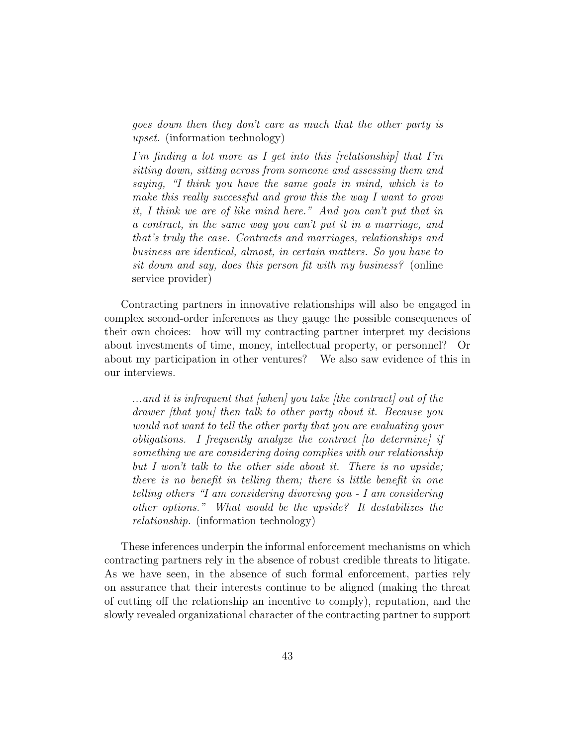*goes down then they don't care as much that the other party is upset.* (information technology)

*I'm finding a lot more as I get into this [relationship] that I'm sitting down, sitting across from someone and assessing them and saying, "I think you have the same goals in mind, which is to make this really successful and grow this the way I want to grow it, I think we are of like mind here." And you can't put that in a contract, in the same way you can't put it in a marriage, and that's truly the case. Contracts and marriages, relationships and business are identical, almost, in certain matters. So you have to sit down and say, does this person fit with my business?* (online service provider)

Contracting partners in innovative relationships will also be engaged in complex second-order inferences as they gauge the possible consequences of their own choices: how will my contracting partner interpret my decisions about investments of time, money, intellectual property, or personnel? Or about my participation in other ventures? We also saw evidence of this in our interviews.

*...and it is infrequent that [when] you take [the contract] out of the drawer [that you] then talk to other party about it. Because you would not want to tell the other party that you are evaluating your obligations. I frequently analyze the contract [to determine] if something we are considering doing complies with our relationship but I won't talk to the other side about it. There is no upside; there is no benefit in telling them; there is little benefit in one telling others "I am considering divorcing you - I am considering other options." What would be the upside? It destabilizes the relationship.* (information technology)

These inferences underpin the informal enforcement mechanisms on which contracting partners rely in the absence of robust credible threats to litigate. As we have seen, in the absence of such formal enforcement, parties rely on assurance that their interests continue to be aligned (making the threat of cutting off the relationship an incentive to comply), reputation, and the slowly revealed organizational character of the contracting partner to support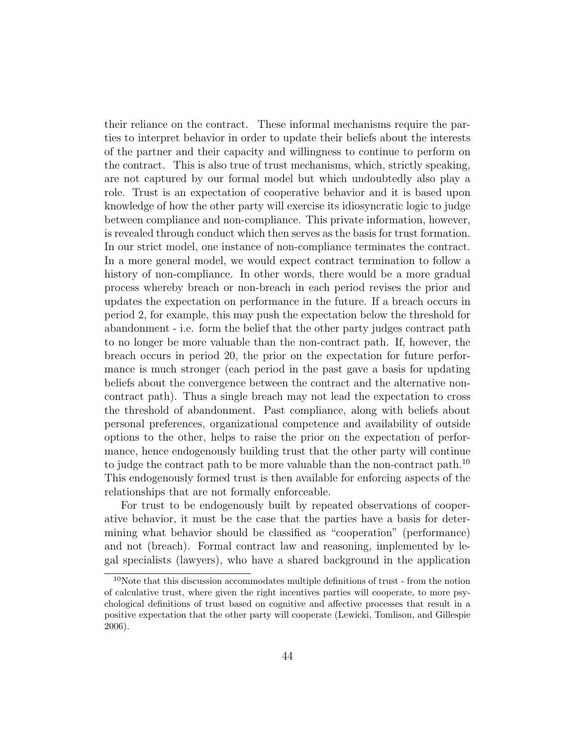their reliance on the contract. These informal mechanisms require the parties to interpret behavior in order to update their beliefs about the interests of the partner and their capacity and willingness to continue to perform on the contract. This is also true of trust mechanisms, which, strictly speaking, are not captured by our formal model but which undoubtedly also play a role. Trust is an expectation of cooperative behavior and it is based upon knowledge of how the other party will exercise its idiosyncratic logic to judge between compliance and non-compliance. This private information, however, is revealed through conduct which then serves as the basis for trust formation. In our strict model, one instance of non-compliance terminates the contract. In a more general model, we would expect contract termination to follow a history of non-compliance. In other words, there would be a more gradual process whereby breach or non-breach in each period revises the prior and updates the expectation on performance in the future. If a breach occurs in period 2, for example, this may push the expectation below the threshold for abandonment - i.e. form the belief that the other party judges contract path to no longer be more valuable than the non-contract path. If, however, the breach occurs in period 20, the prior on the expectation for future performance is much stronger (each period in the past gave a basis for updating beliefs about the convergence between the contract and the alternative noncontract path). Thus a single breach may not lead the expectation to cross the threshold of abandonment. Past compliance, along with beliefs about personal preferences, organizational competence and availability of outside options to the other, helps to raise the prior on the expectation of performance, hence endogenously building trust that the other party will continue to judge the contract path to be more valuable than the non-contract path.<sup>10</sup> This endogenously formed trust is then available for enforcing aspects of the relationships that are not formally enforceable.

For trust to be endogenously built by repeated observations of cooperative behavior, it must be the case that the parties have a basis for determining what behavior should be classified as "cooperation" (performance) and not (breach). Formal contract law and reasoning, implemented by legal specialists (lawyers), who have a shared background in the application

<sup>10</sup>Note that this discussion accommodates multiple definitions of trust - from the notion of calculative trust, where given the right incentives parties will cooperate, to more psychological definitions of trust based on cognitive and affective processes that result in a positive expectation that the other party will cooperate (Lewicki, Tomlison, and Gillespie 2006).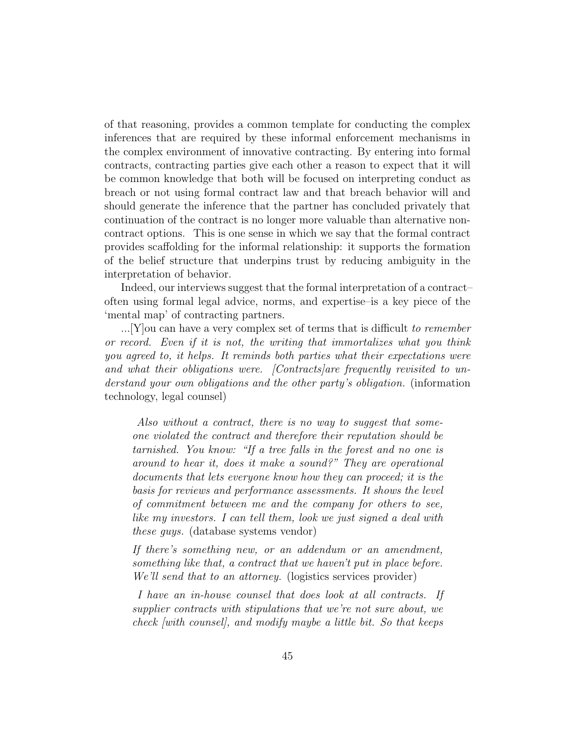of that reasoning, provides a common template for conducting the complex inferences that are required by these informal enforcement mechanisms in the complex environment of innovative contracting. By entering into formal contracts, contracting parties give each other a reason to expect that it will be common knowledge that both will be focused on interpreting conduct as breach or not using formal contract law and that breach behavior will and should generate the inference that the partner has concluded privately that continuation of the contract is no longer more valuable than alternative noncontract options. This is one sense in which we say that the formal contract provides scaffolding for the informal relationship: it supports the formation of the belief structure that underpins trust by reducing ambiguity in the interpretation of behavior.

Indeed, our interviews suggest that the formal interpretation of a contract– often using formal legal advice, norms, and expertise–is a key piece of the 'mental map' of contracting partners.

...[Y]ou can have a very complex set of terms that is difficult *to remember or record. Even if it is not, the writing that immortalizes what you think you agreed to, it helps. It reminds both parties what their expectations were and what their obligations were. [Contracts]are frequently revisited to understand your own obligations and the other party's obligation.* (information technology, legal counsel)

*Also without a contract, there is no way to suggest that someone violated the contract and therefore their reputation should be tarnished. You know: "If a tree falls in the forest and no one is around to hear it, does it make a sound?" They are operational documents that lets everyone know how they can proceed; it is the basis for reviews and performance assessments. It shows the level of commitment between me and the company for others to see, like my investors. I can tell them, look we just signed a deal with these guys.* (database systems vendor)

*If there's something new, or an addendum or an amendment, something like that, a contract that we haven't put in place before. We'll send that to an attorney.* (logistics services provider)

*I have an in-house counsel that does look at all contracts. If supplier contracts with stipulations that we're not sure about, we check [with counsel], and modify maybe a little bit. So that keeps*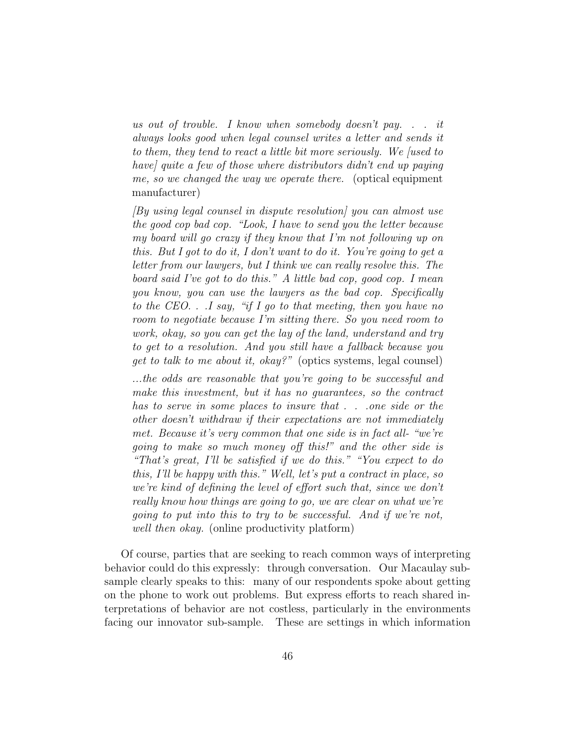*us out of trouble. I know when somebody doesn't pay. . . it always looks good when legal counsel writes a letter and sends it to them, they tend to react a little bit more seriously. We [used to have] quite a few of those where distributors didn't end up paying me, so we changed the way we operate there.* (optical equipment manufacturer)

*[By using legal counsel in dispute resolution] you can almost use the good cop bad cop. "Look, I have to send you the letter because my board will go crazy if they know that I'm not following up on this. But I got to do it, I don't want to do it. You're going to get a letter from our lawyers, but I think we can really resolve this. The board said I've got to do this." A little bad cop, good cop. I mean you know, you can use the lawyers as the bad cop. Specifically to the CEO. . .I say, "if I go to that meeting, then you have no room to negotiate because I'm sitting there. So you need room to work, okay, so you can get the lay of the land, understand and try to get to a resolution. And you still have a fallback because you get to talk to me about it, okay?"* (optics systems, legal counsel)

*...the odds are reasonable that you're going to be successful and make this investment, but it has no guarantees, so the contract has to serve in some places to insure that . . .one side or the other doesn't withdraw if their expectations are not immediately met. Because it's very common that one side is in fact all- "we're going to make so much money off this!" and the other side is "That's great, I'll be satisfied if we do this." "You expect to do this, I'll be happy with this." Well, let's put a contract in place, so we're kind of defining the level of effort such that, since we don't really know how things are going to go, we are clear on what we're going to put into this to try to be successful. And if we're not, well then okay.* (online productivity platform)

Of course, parties that are seeking to reach common ways of interpreting behavior could do this expressly: through conversation. Our Macaulay subsample clearly speaks to this: many of our respondents spoke about getting on the phone to work out problems. But express efforts to reach shared interpretations of behavior are not costless, particularly in the environments facing our innovator sub-sample. These are settings in which information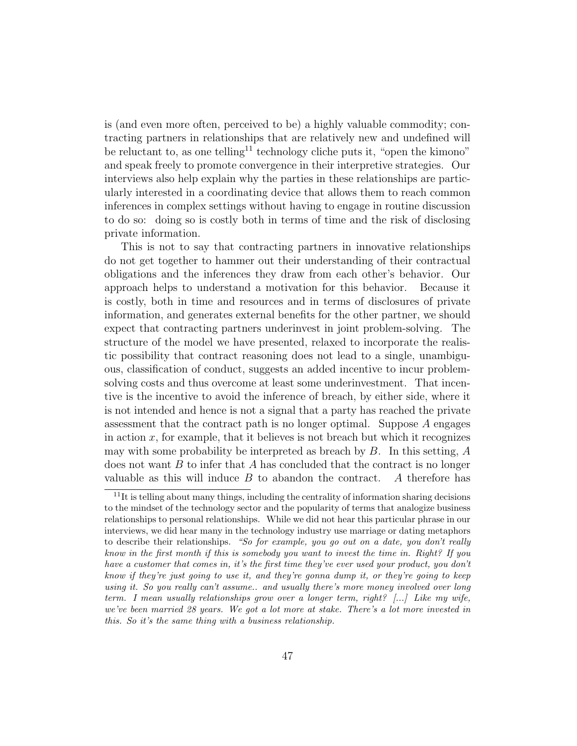is (and even more often, perceived to be) a highly valuable commodity; contracting partners in relationships that are relatively new and undefined will be reluctant to, as one telling<sup>11</sup> technology cliche puts it, "open the kimono" and speak freely to promote convergence in their interpretive strategies. Our interviews also help explain why the parties in these relationships are particularly interested in a coordinating device that allows them to reach common inferences in complex settings without having to engage in routine discussion to do so: doing so is costly both in terms of time and the risk of disclosing private information.

This is not to say that contracting partners in innovative relationships do not get together to hammer out their understanding of their contractual obligations and the inferences they draw from each other's behavior. Our approach helps to understand a motivation for this behavior. Because it is costly, both in time and resources and in terms of disclosures of private information, and generates external benefits for the other partner, we should expect that contracting partners underinvest in joint problem-solving. The structure of the model we have presented, relaxed to incorporate the realistic possibility that contract reasoning does not lead to a single, unambiguous, classification of conduct, suggests an added incentive to incur problemsolving costs and thus overcome at least some underinvestment. That incentive is the incentive to avoid the inference of breach, by either side, where it is not intended and hence is not a signal that a party has reached the private assessment that the contract path is no longer optimal. Suppose *A* engages in action  $x$ , for example, that it believes is not breach but which it recognizes may with some probability be interpreted as breach by *B*. In this setting, *A* does not want *B* to infer that *A* has concluded that the contract is no longer valuable as this will induce *B* to abandon the contract. *A* therefore has

 $11$ It is telling about many things, including the centrality of information sharing decisions to the mindset of the technology sector and the popularity of terms that analogize business relationships to personal relationships. While we did not hear this particular phrase in our interviews, we did hear many in the technology industry use marriage or dating metaphors to describe their relationships. *"So for example, you go out on a date, you don't really know in the first month if this is somebody you want to invest the time in. Right? If you have a customer that comes in, it's the first time they've ever used your product, you don't know if they're just going to use it, and they're gonna dump it, or they're going to keep using it. So you really can't assume.. and usually there's more money involved over long term. I mean usually relationships grow over a longer term, right? [...] Like my wife, we've been married 28 years. We got a lot more at stake. There's a lot more invested in this. So it's the same thing with a business relationship.*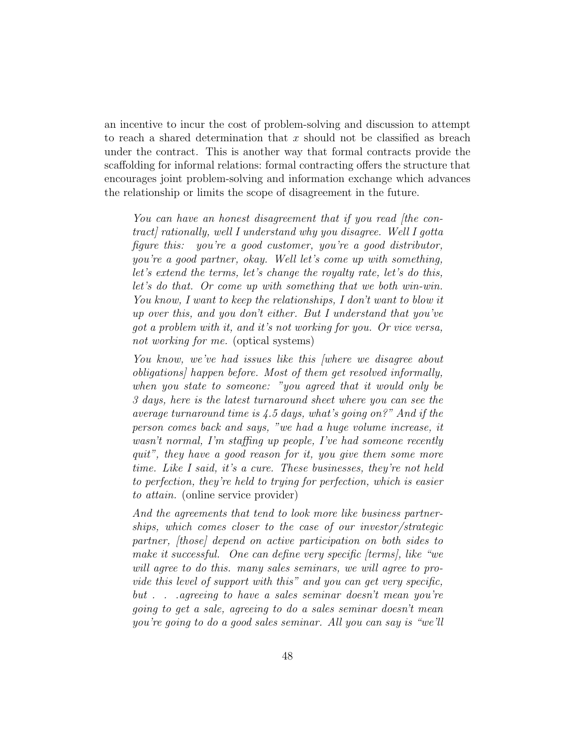an incentive to incur the cost of problem-solving and discussion to attempt to reach a shared determination that *x* should not be classified as breach under the contract. This is another way that formal contracts provide the scaffolding for informal relations: formal contracting offers the structure that encourages joint problem-solving and information exchange which advances the relationship or limits the scope of disagreement in the future.

*You can have an honest disagreement that if you read [the contract] rationally, well I understand why you disagree. Well I gotta figure this: you're a good customer, you're a good distributor, you're a good partner, okay. Well let's come up with something, let's extend the terms, let's change the royalty rate, let's do this, let's do that. Or come up with something that we both win-win. You know, I want to keep the relationships, I don't want to blow it up over this, and you don't either. But I understand that you've got a problem with it, and it's not working for you. Or vice versa, not working for me.* (optical systems)

*You know, we've had issues like this [where we disagree about obligations] happen before. Most of them get resolved informally, when you state to someone: "you agreed that it would only be 3 days, here is the latest turnaround sheet where you can see the average turnaround time is 4.5 days, what's going on?" And if the person comes back and says, "we had a huge volume increase, it wasn't normal, I'm staffing up people, I've had someone recently quit", they have a good reason for it, you give them some more time. Like I said, it's a cure. These businesses, they're not held to perfection, they're held to trying for perfection, which is easier to attain.* (online service provider)

*And the agreements that tend to look more like business partnerships, which comes closer to the case of our investor/strategic partner, [those] depend on active participation on both sides to make it successful. One can define very specific [terms], like "we will agree to do this. many sales seminars, we will agree to provide this level of support with this" and you can get very specific, but . . .agreeing to have a sales seminar doesn't mean you're going to get a sale, agreeing to do a sales seminar doesn't mean you're going to do a good sales seminar. All you can say is "we'll*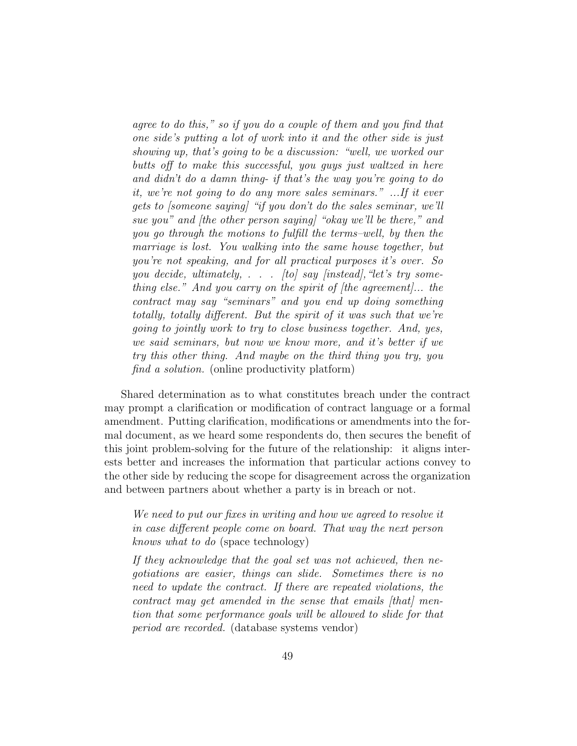*agree to do this," so if you do a couple of them and you find that one side's putting a lot of work into it and the other side is just showing up, that's going to be a discussion: "well, we worked our butts off to make this successful, you guys just waltzed in here and didn't do a damn thing- if that's the way you're going to do it, we're not going to do any more sales seminars." ...If it ever gets to [someone saying] "if you don't do the sales seminar, we'll sue you" and [the other person saying] "okay we'll be there," and you go through the motions to fulfill the terms–well, by then the marriage is lost. You walking into the same house together, but you're not speaking, and for all practical purposes it's over. So you decide, ultimately, . . . [to] say [instead],"let's try something else." And you carry on the spirit of [the agreement]... the contract may say "seminars" and you end up doing something totally, totally different. But the spirit of it was such that we're going to jointly work to try to close business together. And, yes, we said seminars, but now we know more, and it's better if we try this other thing. And maybe on the third thing you try, you find a solution.* (online productivity platform)

Shared determination as to what constitutes breach under the contract may prompt a clarification or modification of contract language or a formal amendment. Putting clarification, modifications or amendments into the formal document, as we heard some respondents do, then secures the benefit of this joint problem-solving for the future of the relationship: it aligns interests better and increases the information that particular actions convey to the other side by reducing the scope for disagreement across the organization and between partners about whether a party is in breach or not.

*We need to put our fixes in writing and how we agreed to resolve it in case different people come on board. That way the next person knows what to do* (space technology)

*If they acknowledge that the goal set was not achieved, then negotiations are easier, things can slide. Sometimes there is no need to update the contract. If there are repeated violations, the contract may get amended in the sense that emails [that] mention that some performance goals will be allowed to slide for that period are recorded.* (database systems vendor)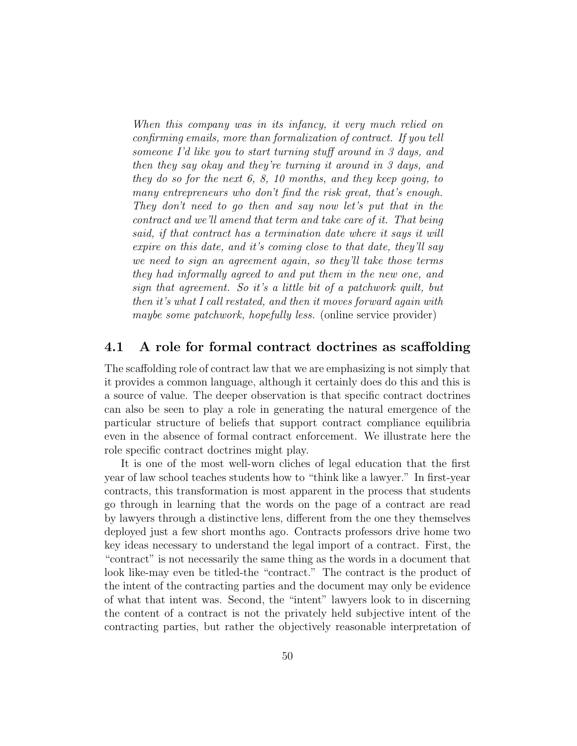*When this company was in its infancy, it very much relied on confirming emails, more than formalization of contract. If you tell someone I'd like you to start turning stuff around in 3 days, and then they say okay and they're turning it around in 3 days, and they do so for the next 6, 8, 10 months, and they keep going, to many entrepreneurs who don't find the risk great, that's enough. They don't need to go then and say now let's put that in the contract and we'll amend that term and take care of it. That being said, if that contract has a termination date where it says it will expire on this date, and it's coming close to that date, they'll say we need to sign an agreement again, so they'll take those terms they had informally agreed to and put them in the new one, and sign that agreement. So it's a little bit of a patchwork quilt, but then it's what I call restated, and then it moves forward again with maybe some patchwork, hopefully less.* (online service provider)

#### **4.1 A role for formal contract doctrines as scaffolding**

The scaffolding role of contract law that we are emphasizing is not simply that it provides a common language, although it certainly does do this and this is a source of value. The deeper observation is that specific contract doctrines can also be seen to play a role in generating the natural emergence of the particular structure of beliefs that support contract compliance equilibria even in the absence of formal contract enforcement. We illustrate here the role specific contract doctrines might play.

It is one of the most well-worn cliches of legal education that the first year of law school teaches students how to "think like a lawyer." In first-year contracts, this transformation is most apparent in the process that students go through in learning that the words on the page of a contract are read by lawyers through a distinctive lens, different from the one they themselves deployed just a few short months ago. Contracts professors drive home two key ideas necessary to understand the legal import of a contract. First, the "contract" is not necessarily the same thing as the words in a document that look like-may even be titled-the "contract." The contract is the product of the intent of the contracting parties and the document may only be evidence of what that intent was. Second, the "intent" lawyers look to in discerning the content of a contract is not the privately held subjective intent of the contracting parties, but rather the objectively reasonable interpretation of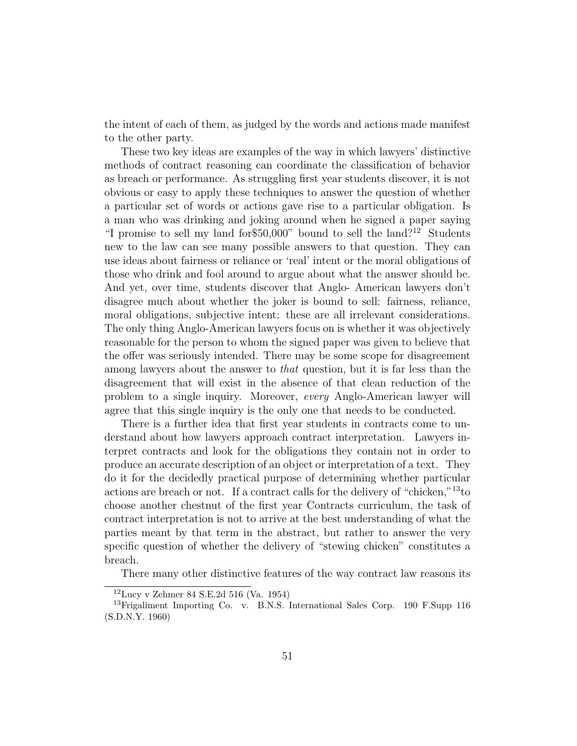the intent of each of them, as judged by the words and actions made manifest to the other party.

These two key ideas are examples of the way in which lawyers' distinctive methods of contract reasoning can coordinate the classification of behavior as breach or performance. As struggling first year students discover, it is not obvious or easy to apply these techniques to answer the question of whether a particular set of words or actions gave rise to a particular obligation. Is a man who was drinking and joking around when he signed a paper saying "I promise to sell my land for \$50,000" bound to sell the land?<sup>12</sup> Students new to the law can see many possible answers to that question. They can use ideas about fairness or reliance or 'real' intent or the moral obligations of those who drink and fool around to argue about what the answer should be. And yet, over time, students discover that Anglo- American lawyers don't disagree much about whether the joker is bound to sell: fairness, reliance, moral obligations, subjective intent: these are all irrelevant considerations. The only thing Anglo-American lawyers focus on is whether it was objectively reasonable for the person to whom the signed paper was given to believe that the offer was seriously intended. There may be some scope for disagreement among lawyers about the answer to *that* question, but it is far less than the disagreement that will exist in the absence of that clean reduction of the problem to a single inquiry. Moreover, *every* Anglo-American lawyer will agree that this single inquiry is the only one that needs to be conducted.

There is a further idea that first year students in contracts come to understand about how lawyers approach contract interpretation. Lawyers interpret contracts and look for the obligations they contain not in order to produce an accurate description of an object or interpretation of a text. They do it for the decidedly practical purpose of determining whether particular actions are breach or not. If a contract calls for the delivery of "chicken,"<sup>13</sup>to choose another chestnut of the first year Contracts curriculum, the task of contract interpretation is not to arrive at the best understanding of what the parties meant by that term in the abstract, but rather to answer the very specific question of whether the delivery of "stewing chicken" constitutes a breach.

There many other distinctive features of the way contract law reasons its

 $12$ Lucy v Zehmer 84 S.E.2d 516 (Va. 1954)

<sup>13</sup>Frigaliment Importing Co. v. B.N.S. International Sales Corp. 190 F.Supp 116 (S.D.N.Y. 1960)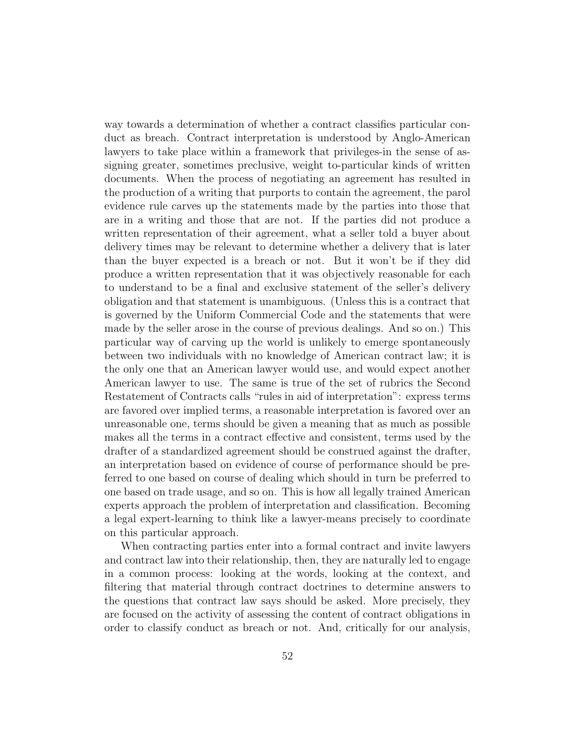way towards a determination of whether a contract classifies particular conduct as breach. Contract interpretation is understood by Anglo-American lawyers to take place within a framework that privileges-in the sense of assigning greater, sometimes preclusive, weight to-particular kinds of written documents. When the process of negotiating an agreement has resulted in the production of a writing that purports to contain the agreement, the parol evidence rule carves up the statements made by the parties into those that are in a writing and those that are not. If the parties did not produce a written representation of their agreement, what a seller told a buyer about delivery times may be relevant to determine whether a delivery that is later than the buyer expected is a breach or not. But it won't be if they did produce a written representation that it was objectively reasonable for each to understand to be a final and exclusive statement of the seller's delivery obligation and that statement is unambiguous. (Unless this is a contract that is governed by the Uniform Commercial Code and the statements that were made by the seller arose in the course of previous dealings. And so on.) This particular way of carving up the world is unlikely to emerge spontaneously between two individuals with no knowledge of American contract law; it is the only one that an American lawyer would use, and would expect another American lawyer to use. The same is true of the set of rubrics the Second Restatement of Contracts calls "rules in aid of interpretation": express terms are favored over implied terms, a reasonable interpretation is favored over an unreasonable one, terms should be given a meaning that as much as possible makes all the terms in a contract effective and consistent, terms used by the drafter of a standardized agreement should be construed against the drafter, an interpretation based on evidence of course of performance should be preferred to one based on course of dealing which should in turn be preferred to one based on trade usage, and so on. This is how all legally trained American experts approach the problem of interpretation and classification. Becoming a legal expert-learning to think like a lawyer-means precisely to coordinate on this particular approach.

When contracting parties enter into a formal contract and invite lawyers and contract law into their relationship, then, they are naturally led to engage in a common process: looking at the words, looking at the context, and filtering that material through contract doctrines to determine answers to the questions that contract law says should be asked. More precisely, they are focused on the activity of assessing the content of contract obligations in order to classify conduct as breach or not. And, critically for our analysis,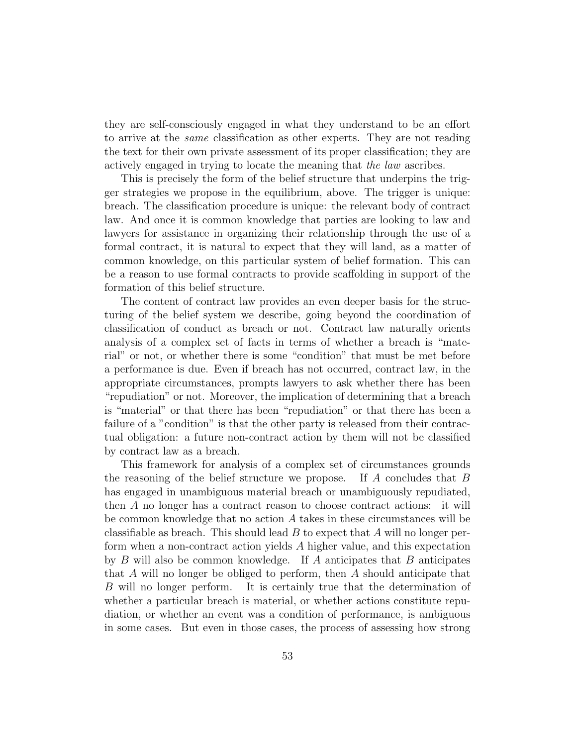they are self-consciously engaged in what they understand to be an effort to arrive at the *same* classification as other experts. They are not reading the text for their own private assessment of its proper classification; they are actively engaged in trying to locate the meaning that *the law* ascribes.

This is precisely the form of the belief structure that underpins the trigger strategies we propose in the equilibrium, above. The trigger is unique: breach. The classification procedure is unique: the relevant body of contract law. And once it is common knowledge that parties are looking to law and lawyers for assistance in organizing their relationship through the use of a formal contract, it is natural to expect that they will land, as a matter of common knowledge, on this particular system of belief formation. This can be a reason to use formal contracts to provide scaffolding in support of the formation of this belief structure.

The content of contract law provides an even deeper basis for the structuring of the belief system we describe, going beyond the coordination of classification of conduct as breach or not. Contract law naturally orients analysis of a complex set of facts in terms of whether a breach is "material" or not, or whether there is some "condition" that must be met before a performance is due. Even if breach has not occurred, contract law, in the appropriate circumstances, prompts lawyers to ask whether there has been "repudiation" or not. Moreover, the implication of determining that a breach is "material" or that there has been "repudiation" or that there has been a failure of a "condition" is that the other party is released from their contractual obligation: a future non-contract action by them will not be classified by contract law as a breach.

This framework for analysis of a complex set of circumstances grounds the reasoning of the belief structure we propose. If *A* concludes that *B* has engaged in unambiguous material breach or unambiguously repudiated, then *A* no longer has a contract reason to choose contract actions: it will be common knowledge that no action *A* takes in these circumstances will be classifiable as breach. This should lead *B* to expect that *A* will no longer perform when a non-contract action yields *A* higher value, and this expectation by *B* will also be common knowledge. If *A* anticipates that *B* anticipates that *A* will no longer be obliged to perform, then *A* should anticipate that *B* will no longer perform. It is certainly true that the determination of whether a particular breach is material, or whether actions constitute repudiation, or whether an event was a condition of performance, is ambiguous in some cases. But even in those cases, the process of assessing how strong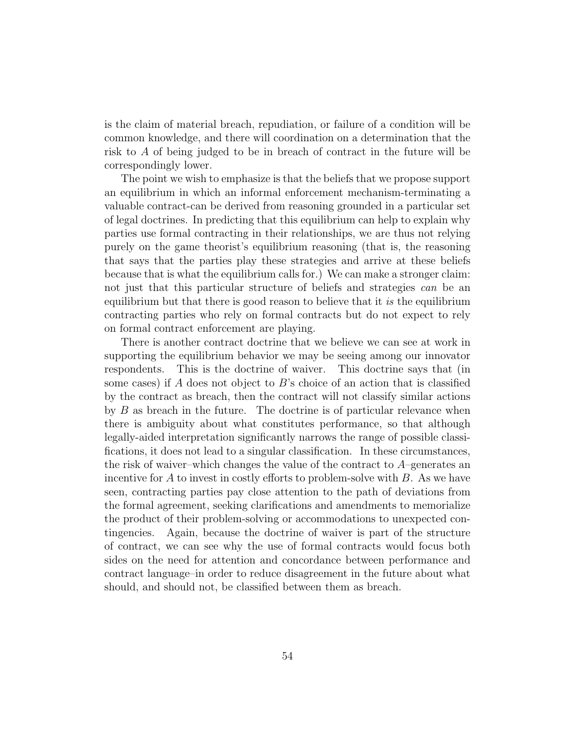is the claim of material breach, repudiation, or failure of a condition will be common knowledge, and there will coordination on a determination that the risk to *A* of being judged to be in breach of contract in the future will be correspondingly lower.

The point we wish to emphasize is that the beliefs that we propose support an equilibrium in which an informal enforcement mechanism-terminating a valuable contract-can be derived from reasoning grounded in a particular set of legal doctrines. In predicting that this equilibrium can help to explain why parties use formal contracting in their relationships, we are thus not relying purely on the game theorist's equilibrium reasoning (that is, the reasoning that says that the parties play these strategies and arrive at these beliefs because that is what the equilibrium calls for.) We can make a stronger claim: not just that this particular structure of beliefs and strategies *can* be an equilibrium but that there is good reason to believe that it *is* the equilibrium contracting parties who rely on formal contracts but do not expect to rely on formal contract enforcement are playing.

There is another contract doctrine that we believe we can see at work in supporting the equilibrium behavior we may be seeing among our innovator respondents. This is the doctrine of waiver. This doctrine says that (in some cases) if *A* does not object to *B*'s choice of an action that is classified by the contract as breach, then the contract will not classify similar actions by *B* as breach in the future. The doctrine is of particular relevance when there is ambiguity about what constitutes performance, so that although legally-aided interpretation significantly narrows the range of possible classifications, it does not lead to a singular classification. In these circumstances, the risk of waiver–which changes the value of the contract to *A*–generates an incentive for *A* to invest in costly efforts to problem-solve with *B*. As we have seen, contracting parties pay close attention to the path of deviations from the formal agreement, seeking clarifications and amendments to memorialize the product of their problem-solving or accommodations to unexpected contingencies. Again, because the doctrine of waiver is part of the structure of contract, we can see why the use of formal contracts would focus both sides on the need for attention and concordance between performance and contract language–in order to reduce disagreement in the future about what should, and should not, be classified between them as breach.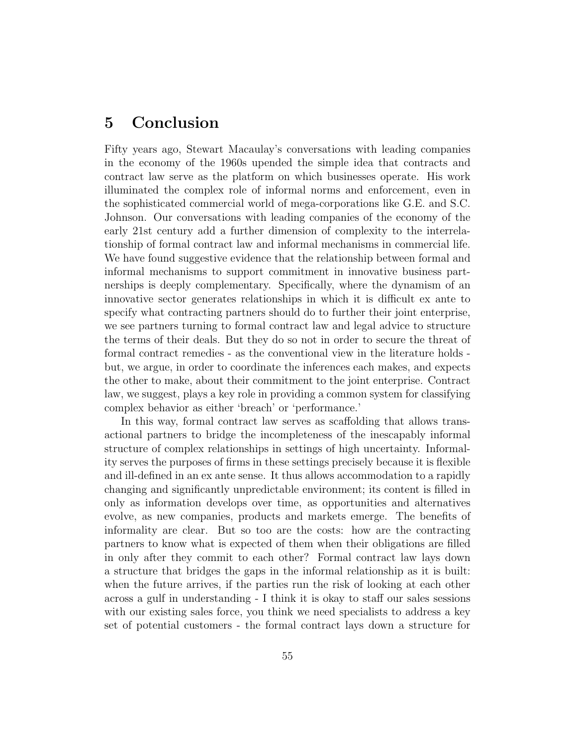## **5 Conclusion**

Fifty years ago, Stewart Macaulay's conversations with leading companies in the economy of the 1960s upended the simple idea that contracts and contract law serve as the platform on which businesses operate. His work illuminated the complex role of informal norms and enforcement, even in the sophisticated commercial world of mega-corporations like G.E. and S.C. Johnson. Our conversations with leading companies of the economy of the early 21st century add a further dimension of complexity to the interrelationship of formal contract law and informal mechanisms in commercial life. We have found suggestive evidence that the relationship between formal and informal mechanisms to support commitment in innovative business partnerships is deeply complementary. Specifically, where the dynamism of an innovative sector generates relationships in which it is difficult ex ante to specify what contracting partners should do to further their joint enterprise, we see partners turning to formal contract law and legal advice to structure the terms of their deals. But they do so not in order to secure the threat of formal contract remedies - as the conventional view in the literature holds but, we argue, in order to coordinate the inferences each makes, and expects the other to make, about their commitment to the joint enterprise. Contract law, we suggest, plays a key role in providing a common system for classifying complex behavior as either 'breach' or 'performance.'

In this way, formal contract law serves as scaffolding that allows transactional partners to bridge the incompleteness of the inescapably informal structure of complex relationships in settings of high uncertainty. Informality serves the purposes of firms in these settings precisely because it is flexible and ill-defined in an ex ante sense. It thus allows accommodation to a rapidly changing and significantly unpredictable environment; its content is filled in only as information develops over time, as opportunities and alternatives evolve, as new companies, products and markets emerge. The benefits of informality are clear. But so too are the costs: how are the contracting partners to know what is expected of them when their obligations are filled in only after they commit to each other? Formal contract law lays down a structure that bridges the gaps in the informal relationship as it is built: when the future arrives, if the parties run the risk of looking at each other across a gulf in understanding - I think it is okay to staff our sales sessions with our existing sales force, you think we need specialists to address a key set of potential customers - the formal contract lays down a structure for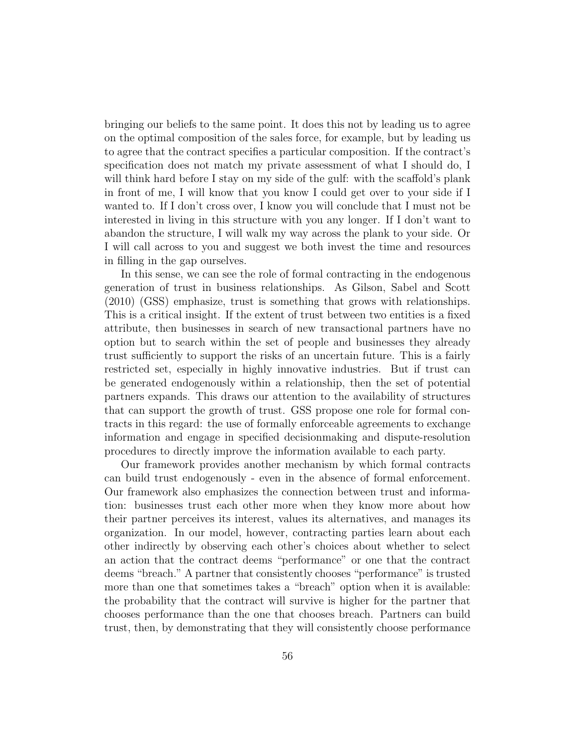bringing our beliefs to the same point. It does this not by leading us to agree on the optimal composition of the sales force, for example, but by leading us to agree that the contract specifies a particular composition. If the contract's specification does not match my private assessment of what I should do, I will think hard before I stay on my side of the gulf: with the scaffold's plank in front of me, I will know that you know I could get over to your side if I wanted to. If I don't cross over, I know you will conclude that I must not be interested in living in this structure with you any longer. If I don't want to abandon the structure, I will walk my way across the plank to your side. Or I will call across to you and suggest we both invest the time and resources in filling in the gap ourselves.

In this sense, we can see the role of formal contracting in the endogenous generation of trust in business relationships. As Gilson, Sabel and Scott (2010) (GSS) emphasize, trust is something that grows with relationships. This is a critical insight. If the extent of trust between two entities is a fixed attribute, then businesses in search of new transactional partners have no option but to search within the set of people and businesses they already trust sufficiently to support the risks of an uncertain future. This is a fairly restricted set, especially in highly innovative industries. But if trust can be generated endogenously within a relationship, then the set of potential partners expands. This draws our attention to the availability of structures that can support the growth of trust. GSS propose one role for formal contracts in this regard: the use of formally enforceable agreements to exchange information and engage in specified decisionmaking and dispute-resolution procedures to directly improve the information available to each party.

Our framework provides another mechanism by which formal contracts can build trust endogenously - even in the absence of formal enforcement. Our framework also emphasizes the connection between trust and information: businesses trust each other more when they know more about how their partner perceives its interest, values its alternatives, and manages its organization. In our model, however, contracting parties learn about each other indirectly by observing each other's choices about whether to select an action that the contract deems "performance" or one that the contract deems "breach." A partner that consistently chooses "performance" is trusted more than one that sometimes takes a "breach" option when it is available: the probability that the contract will survive is higher for the partner that chooses performance than the one that chooses breach. Partners can build trust, then, by demonstrating that they will consistently choose performance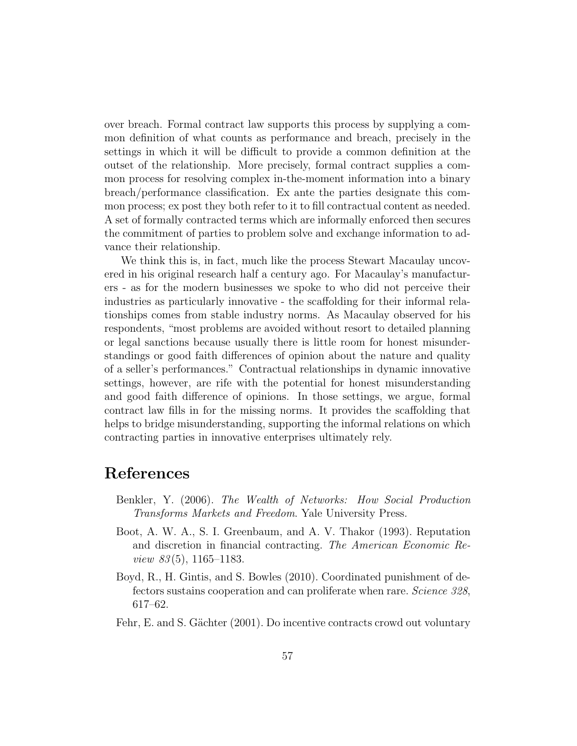over breach. Formal contract law supports this process by supplying a common definition of what counts as performance and breach, precisely in the settings in which it will be difficult to provide a common definition at the outset of the relationship. More precisely, formal contract supplies a common process for resolving complex in-the-moment information into a binary breach/performance classification. Ex ante the parties designate this common process; ex post they both refer to it to fill contractual content as needed. A set of formally contracted terms which are informally enforced then secures the commitment of parties to problem solve and exchange information to advance their relationship.

We think this is, in fact, much like the process Stewart Macaulay uncovered in his original research half a century ago. For Macaulay's manufacturers - as for the modern businesses we spoke to who did not perceive their industries as particularly innovative - the scaffolding for their informal relationships comes from stable industry norms. As Macaulay observed for his respondents, "most problems are avoided without resort to detailed planning or legal sanctions because usually there is little room for honest misunderstandings or good faith differences of opinion about the nature and quality of a seller's performances." Contractual relationships in dynamic innovative settings, however, are rife with the potential for honest misunderstanding and good faith difference of opinions. In those settings, we argue, formal contract law fills in for the missing norms. It provides the scaffolding that helps to bridge misunderstanding, supporting the informal relations on which contracting parties in innovative enterprises ultimately rely.

### **References**

- Benkler, Y. (2006). *The Wealth of Networks: How Social Production Transforms Markets and Freedom*. Yale University Press.
- Boot, A. W. A., S. I. Greenbaum, and A. V. Thakor (1993). Reputation and discretion in financial contracting. *The American Economic Review 83* (5), 1165–1183.
- Boyd, R., H. Gintis, and S. Bowles (2010). Coordinated punishment of defectors sustains cooperation and can proliferate when rare. *Science 328*, 617–62.
- Fehr, E. and S. Gächter (2001). Do incentive contracts crowd out voluntary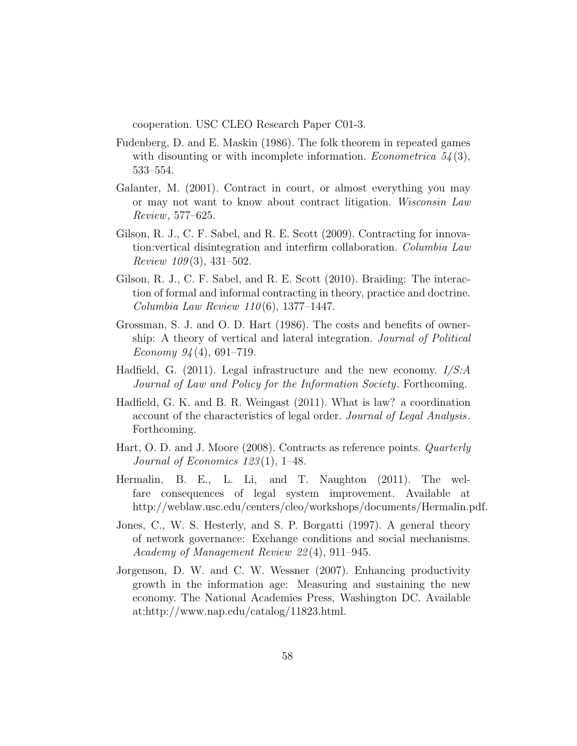cooperation. USC CLEO Research Paper C01-3.

- Fudenberg, D. and E. Maskin (1986). The folk theorem in repeated games with disounting or with incomplete information. *Econometrica 54* (3), 533–554.
- Galanter, M. (2001). Contract in court, or almost everything you may or may not want to know about contract litigation. *Wisconsin Law Review*, 577–625.
- Gilson, R. J., C. F. Sabel, and R. E. Scott (2009). Contracting for innovation:vertical disintegration and interfirm collaboration. *Columbia Law Review 109* (3), 431–502.
- Gilson, R. J., C. F. Sabel, and R. E. Scott (2010). Braiding: The interaction of formal and informal contracting in theory, practice and doctrine. *Columbia Law Review 110* (6), 1377–1447.
- Grossman, S. J. and O. D. Hart (1986). The costs and benefits of ownership: A theory of vertical and lateral integration. *Journal of Political Economy 94* (4), 691–719.
- Hadfield, G. (2011). Legal infrastructure and the new economy. *I/S:A Journal of Law and Policy for the Information Society*. Forthcoming.
- Hadfield, G. K. and B. R. Weingast (2011). What is law? a coordination account of the characteristics of legal order. *Journal of Legal Analysis*. Forthcoming.
- Hart, O. D. and J. Moore (2008). Contracts as reference points. *Quarterly Journal of Economics 123* (1), 1–48.
- Hermalin, B. E., L. Li, and T. Naughton (2011). The welfare consequences of legal system improvement. Available at http://weblaw.usc.edu/centers/cleo/workshops/documents/Hermalin.pdf.
- Jones, C., W. S. Hesterly, and S. P. Borgatti (1997). A general theory of network governance: Exchange conditions and social mechanisms. *Academy of Management Review 22* (4), 911–945.
- Jorgenson, D. W. and C. W. Wessner (2007). Enhancing productivity growth in the information age: Measuring and sustaining the new economy. The National Academies Press, Washington DC. Available at:http://www.nap.edu/catalog/11823.html.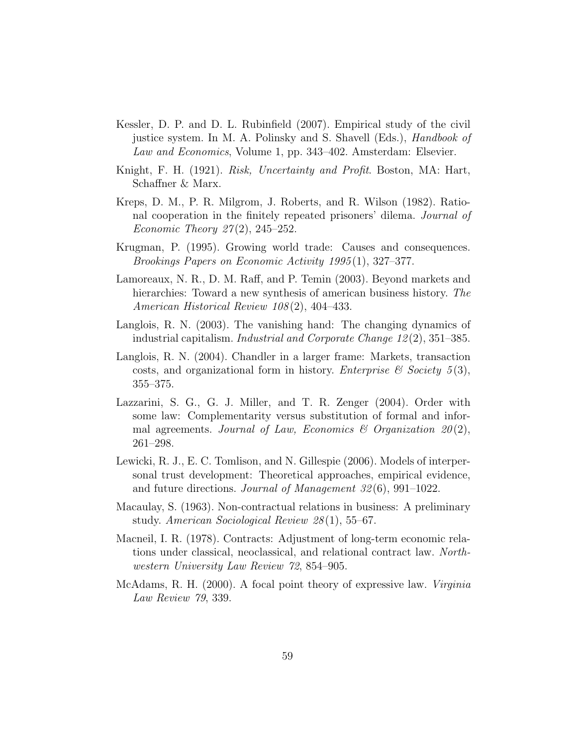- Kessler, D. P. and D. L. Rubinfield (2007). Empirical study of the civil justice system. In M. A. Polinsky and S. Shavell (Eds.), *Handbook of Law and Economics*, Volume 1, pp. 343–402. Amsterdam: Elsevier.
- Knight, F. H. (1921). *Risk, Uncertainty and Profit*. Boston, MA: Hart, Schaffner & Marx.
- Kreps, D. M., P. R. Milgrom, J. Roberts, and R. Wilson (1982). Rational cooperation in the finitely repeated prisoners' dilema. *Journal of Economic Theory 27* (2), 245–252.
- Krugman, P. (1995). Growing world trade: Causes and consequences. *Brookings Papers on Economic Activity 1995* (1), 327–377.
- Lamoreaux, N. R., D. M. Raff, and P. Temin (2003). Beyond markets and hierarchies: Toward a new synthesis of american business history. *The American Historical Review 108* (2), 404–433.
- Langlois, R. N. (2003). The vanishing hand: The changing dynamics of industrial capitalism. *Industrial and Corporate Change 12* (2), 351–385.
- Langlois, R. N. (2004). Chandler in a larger frame: Markets, transaction costs, and organizational form in history. *Enterprise & Society 5* (3), 355–375.
- Lazzarini, S. G., G. J. Miller, and T. R. Zenger (2004). Order with some law: Complementarity versus substitution of formal and informal agreements. *Journal of Law, Economics & Organization 20* (2), 261–298.
- Lewicki, R. J., E. C. Tomlison, and N. Gillespie (2006). Models of interpersonal trust development: Theoretical approaches, empirical evidence, and future directions. *Journal of Management 32* (6), 991–1022.
- Macaulay, S. (1963). Non-contractual relations in business: A preliminary study. *American Sociological Review 28* (1), 55–67.
- Macneil, I. R. (1978). Contracts: Adjustment of long-term economic relations under classical, neoclassical, and relational contract law. *Northwestern University Law Review 72*, 854–905.
- McAdams, R. H. (2000). A focal point theory of expressive law. *Virginia Law Review 79*, 339.